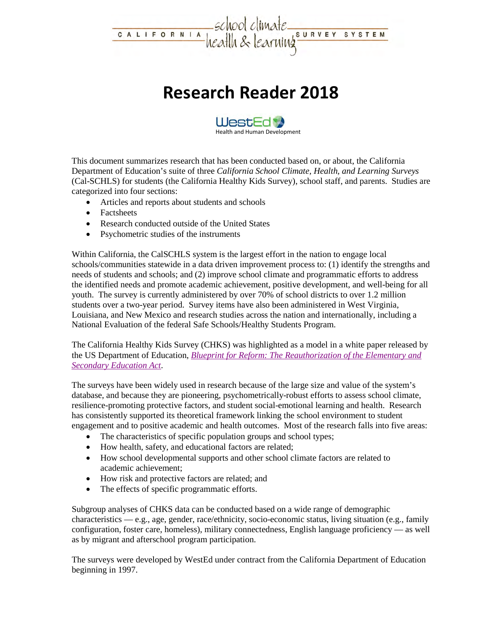# CALIFORNIA GChool climate

# **Research Reader 2018**



This document summarizes research that has been conducted based on, or about, the California Department of Education's suite of three *California School Climate, Health, and Learning Surveys* (Cal-SCHLS) for students (the California Healthy Kids Survey), school staff, and parents. Studies are categorized into four sections:

- Articles and reports about students and schools
- Factsheets
- Research conducted outside of the United States
- Psychometric studies of the instruments

Within California, the CalSCHLS system is the largest effort in the nation to engage local schools/communities statewide in a data driven improvement process to: (1) identify the strengths and needs of students and schools; and (2) improve school climate and programmatic efforts to address the identified needs and promote academic achievement, positive development, and well-being for all youth. The survey is currently administered by over 70% of school districts to over 1.2 million students over a two-year period. Survey items have also been administered in West Virginia, Louisiana, and New Mexico and research studies across the nation and internationally, including a National Evaluation of the federal Safe Schools/Healthy Students Program.

The California Healthy Kids Survey (CHKS) was highlighted as a model in a white paper released by the US Department of Education, *[Blueprint for Reform: The Reauthorization of the Elementary and](http://www2.ed.gov/policy/elsec/leg/blueprint/blueprint.pdf)  [Secondary Education Act](http://www2.ed.gov/policy/elsec/leg/blueprint/blueprint.pdf)*.

The surveys have been widely used in research because of the large size and value of the system's database, and because they are pioneering, psychometrically-robust efforts to assess school climate, resilience-promoting protective factors, and student social-emotional learning and health. Research has consistently supported its theoretical framework linking the school environment to student engagement and to positive academic and health outcomes. Most of the research falls into five areas:

- The characteristics of specific population groups and school types;
- How health, safety, and educational factors are related;
- How school developmental supports and other school climate factors are related to academic achievement;
- How risk and protective factors are related; and
- The effects of specific programmatic efforts.

Subgroup analyses of CHKS data can be conducted based on a wide range of demographic characteristics — e.g., age, gender, race/ethnicity, socio-economic status, living situation (e.g., family configuration, foster care, homeless), military connectedness, English language proficiency — as well as by migrant and afterschool program participation.

The surveys were developed by WestEd under contract from the California Department of Education beginning in 1997.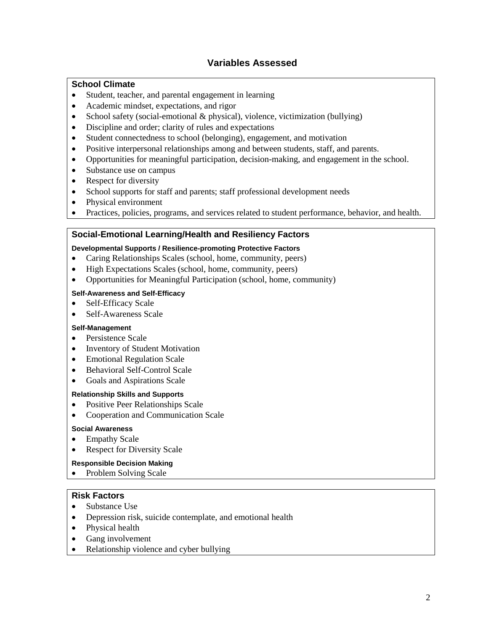# **Variables Assessed**

# **School Climate**

- Student, teacher, and parental engagement in learning
- Academic mindset, expectations, and rigor
- School safety (social-emotional & physical), violence, victimization (bullying)
- Discipline and order; clarity of rules and expectations
- Student connectedness to school (belonging), engagement, and motivation
- Positive interpersonal relationships among and between students, staff, and parents.
- Opportunities for meaningful participation, decision-making, and engagement in the school.
- Substance use on campus
- Respect for diversity
- School supports for staff and parents; staff professional development needs
- Physical environment
- Practices, policies, programs, and services related to student performance, behavior, and health.

#### **Social-Emotional Learning/Health and Resiliency Factors**

#### **Developmental Supports / Resilience-promoting Protective Factors**

- Caring Relationships Scales (school, home, community, peers)
- High Expectations Scales (school, home, community, peers)
- Opportunities for Meaningful Participation (school, home, community)

#### **Self-Awareness and Self-Efficacy**

- Self-Efficacy Scale
- Self-Awareness Scale

#### **Self-Management**

- Persistence Scale
- Inventory of Student Motivation
- Emotional Regulation Scale
- Behavioral Self-Control Scale
- Goals and Aspirations Scale

#### **Relationship Skills and Supports**

- Positive Peer Relationships Scale
- Cooperation and Communication Scale

#### **Social Awareness**

- Empathy Scale
- Respect for Diversity Scale

#### **Responsible Decision Making**

• Problem Solving Scale

# **Risk Factors**

- Substance Use
- Depression risk, suicide contemplate, and emotional health
- Physical health
- Gang involvement
- Relationship violence and cyber bullying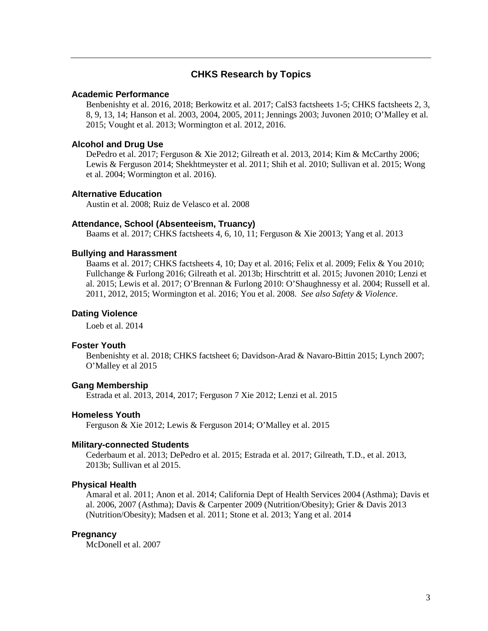# **CHKS Research by Topics**

#### **Academic Performance**

Benbenishty et al. 2016, 2018; Berkowitz et al. 2017; CalS3 factsheets 1-5; CHKS factsheets 2, 3, 8, 9, 13, 14; Hanson et al. 2003, 2004, 2005, 2011; Jennings 2003; Juvonen 2010; O'Malley et al. 2015; Vought et al. 2013; Wormington et al. 2012, 2016.

#### **Alcohol and Drug Use**

DePedro et al. 2017; Ferguson & Xie 2012; Gilreath et al. 2013, 2014; Kim & McCarthy 2006; Lewis & Ferguson 2014; Shekhtmeyster et al. 2011; Shih et al. 2010; Sullivan et al. 2015; Wong et al. 2004; Wormington et al. 2016).

#### **Alternative Education**

Austin et al. 2008; Ruiz de Velasco et al. 2008

#### **Attendance, School (Absenteeism, Truancy)**

Baams et al. 2017; CHKS factsheets 4, 6, 10, 11; Ferguson & Xie 20013; Yang et al. 2013

#### **Bullying and Harassment**

Baams et al. 2017; CHKS factsheets 4, 10; Day et al. 2016; Felix et al. 2009; Felix & You 2010; Fullchange & Furlong 2016; Gilreath et al. 2013b; Hirschtritt et al. 2015; Juvonen 2010; Lenzi et al. 2015; Lewis et al. 2017; O'Brennan & Furlong 2010: O'Shaughnessy et al. 2004; Russell et al. 2011, 2012, 2015; Wormington et al. 2016; You et al. 2008. *See also Safety & Violence*.

#### **Dating Violence**

Loeb et al. 2014

#### **Foster Youth**

Benbenishty et al. 2018; CHKS factsheet 6; Davidson-Arad & Navaro-Bittin 2015; Lynch 2007; O'Malley et al 2015

#### **Gang Membership**

Estrada et al. 2013, 2014, 2017; Ferguson 7 Xie 2012; Lenzi et al. 2015

#### **Homeless Youth**

Ferguson & Xie 2012; Lewis & Ferguson 2014; O'Malley et al. 2015

#### **Military-connected Students**

Cederbaum et al. 2013; DePedro et al. 2015; Estrada et al. 2017; Gilreath, T.D., et al. 2013, 2013b; Sullivan et al 2015.

#### **Physical Health**

Amaral et al. 2011; Anon et al. 2014; California Dept of Health Services 2004 (Asthma); Davis et al. 2006, 2007 (Asthma); Davis & Carpenter 2009 (Nutrition/Obesity); Grier & Davis 2013 (Nutrition/Obesity); Madsen et al. 2011; Stone et al. 2013; Yang et al. 2014

#### **Pregnancy**

McDonell et al. 2007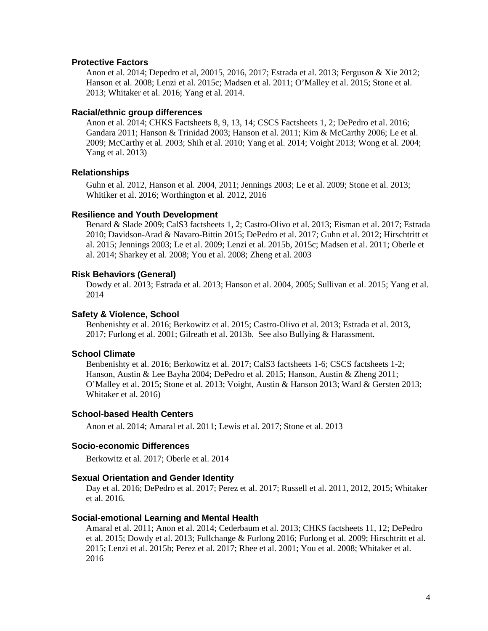#### **Protective Factors**

Anon et al. 2014; Depedro et al, 20015, 2016, 2017; Estrada et al. 2013; Ferguson & Xie 2012; Hanson et al. 2008; Lenzi et al. 2015c; Madsen et al. 2011; O'Malley et al. 2015; Stone et al. 2013; Whitaker et al. 2016; Yang et al. 2014.

#### **Racial/ethnic group differences**

Anon et al. 2014; CHKS Factsheets 8, 9, 13, 14; CSCS Factsheets 1, 2; DePedro et al. 2016; Gandara 2011; Hanson & Trinidad 2003; Hanson et al. 2011; Kim & McCarthy 2006; Le et al. 2009; McCarthy et al. 2003; Shih et al. 2010; Yang et al. 2014; Voight 2013; Wong et al. 2004; Yang et al. 2013)

#### **Relationships**

Guhn et al. 2012, Hanson et al. 2004, 2011; Jennings 2003; Le et al. 2009; Stone et al. 2013; Whitiker et al. 2016; Worthington et al. 2012, 2016

#### **Resilience and Youth Development**

Benard & Slade 2009; CalS3 factsheets 1, 2; Castro-Olivo et al. 2013; Eisman et al. 2017; Estrada 2010; Davidson-Arad & Navaro-Bittin 2015; DePedro et al. 2017; Guhn et al. 2012; Hirschtritt et al. 2015; Jennings 2003; Le et al. 2009; Lenzi et al. 2015b, 2015c; Madsen et al. 2011; Oberle et al. 2014; Sharkey et al. 2008; You et al. 2008; Zheng et al. 2003

#### **Risk Behaviors (General)**

Dowdy et al. 2013; Estrada et al. 2013; Hanson et al. 2004, 2005; Sullivan et al. 2015; Yang et al. 2014

#### **Safety & Violence, School**

Benbenishty et al. 2016; Berkowitz et al. 2015; Castro-Olivo et al. 2013; Estrada et al. 2013, 2017; Furlong et al. 2001; Gilreath et al. 2013b. See also Bullying & Harassment.

#### **School Climate**

Benbenishty et al. 2016; Berkowitz et al. 2017; CalS3 factsheets 1-6; CSCS factsheets 1-2; Hanson, Austin & Lee Bayha 2004; DePedro et al. 2015; Hanson, Austin & Zheng 2011; O'Malley et al. 2015; Stone et al. 2013; Voight, Austin & Hanson 2013; Ward & Gersten 2013; Whitaker et al. 2016)

#### **School-based Health Centers**

Anon et al. 2014; Amaral et al. 2011; Lewis et al. 2017; Stone et al. 2013

#### **Socio-economic Differences**

Berkowitz et al. 2017; Oberle et al. 2014

#### **Sexual Orientation and Gender Identity**

Day et al. 2016; DePedro et al. 2017; Perez et al. 2017; Russell et al. 2011, 2012, 2015; Whitaker et al. 2016.

#### **Social-emotional Learning and Mental Health**

Amaral et al. 2011; Anon et al. 2014; Cederbaum et al. 2013; CHKS factsheets 11, 12; DePedro et al. 2015; Dowdy et al. 2013; Fullchange & Furlong 2016; Furlong et al. 2009; Hirschtritt et al. 2015; Lenzi et al. 2015b; Perez et al. 2017; Rhee et al. 2001; You et al. 2008; Whitaker et al. 2016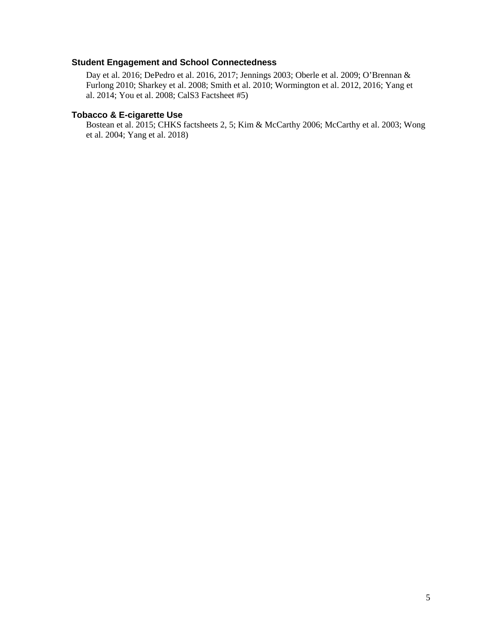# **Student Engagement and School Connectedness**

Day et al. 2016; DePedro et al. 2016, 2017; Jennings 2003; Oberle et al. 2009; O'Brennan & Furlong 2010; Sharkey et al. 2008; Smith et al. 2010; Wormington et al. 2012, 2016; Yang et al. 2014; You et al. 2008; CalS3 Factsheet #5)

#### **Tobacco & E-cigarette Use**

Bostean et al. 2015; CHKS factsheets 2, 5; Kim & McCarthy 2006; McCarthy et al. 2003; Wong et al. 2004; Yang et al. 2018)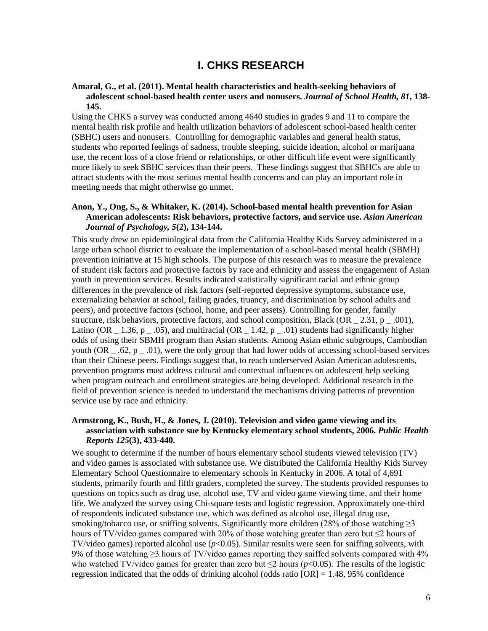# **I. CHKS RESEARCH**

#### **Amaral, G., et al. (2011). Mental health characteristics and health-seeking behaviors of adolescent school-based health center users and nonusers.** *Journal of School Health, 81***, 138- 145.**

Using the CHKS a survey was conducted among 4640 studies in grades 9 and 11 to compare the mental health risk profile and health utilization behaviors of adolescent school-based health center (SBHC) users and nonusers. Controlling for demographic variables and general health status, students who reported feelings of sadness, trouble sleeping, suicide ideation, alcohol or marijuana use, the recent loss of a close friend or relationships, or other difficult life event were significantly more likely to seek SBHC services than their peers. These findings suggest that SBHCs are able to attract students with the most serious mental health concerns and can play an important role in meeting needs that might otherwise go unmet.

#### **Anon, Y., Ong, S., & Whitaker, K. (2014). School-based mental health prevention for Asian American adolescents: Risk behaviors, protective factors, and service use.** *Asian American Journal of Psychology, 5***(2), 134-144.**

This study drew on epidemiological data from the California Healthy Kids Survey administered in a large urban school district to evaluate the implementation of a school-based mental health (SBMH) prevention initiative at 15 high schools. The purpose of this research was to measure the prevalence of student risk factors and protective factors by race and ethnicity and assess the engagement of Asian youth in prevention services. Results indicated statistically significant racial and ethnic group differences in the prevalence of risk factors (self-reported depressive symptoms, substance use, externalizing behavior at school, failing grades, truancy, and discrimination by school adults and peers), and protective factors (school, home, and peer assets). Controlling for gender, family structure, risk behaviors, protective factors, and school composition, Black (OR  $\geq 2.31$ , p  $\geq .001$ ), Latino (OR  $\quad 1.36, \, p \quad .05$ ), and multiracial (OR  $\quad 1.42, \, p \quad .01$ ) students had significantly higher odds of using their SBMH program than Asian students. Among Asian ethnic subgroups, Cambodian youth (OR  $\_$  .62, p  $\_$  .01), were the only group that had lower odds of accessing school-based services than their Chinese peers. Findings suggest that, to reach underserved Asian American adolescents, prevention programs must address cultural and contextual influences on adolescent help seeking when program outreach and enrollment strategies are being developed. Additional research in the field of prevention science is needed to understand the mechanisms driving patterns of prevention service use by race and ethnicity.

#### **Armstrong, K., Bush, H., & Jones, J. (2010). Television and video game viewing and its association with substance sue by Kentucky elementary school students, 2006.** *Public Health Reports 125***(3), 433-440.**

We sought to determine if the number of hours elementary school students viewed television (TV) and video games is associated with substance use. We distributed the California Healthy Kids Survey Elementary School Questionnaire to elementary schools in Kentucky in 2006. A total of 4,691 students, primarily fourth and fifth graders, completed the survey. The students provided responses to questions on topics such as drug use, alcohol use, TV and video game viewing time, and their home life. We analyzed the survey using Chi-square tests and logistic regression. Approximately one-third of respondents indicated substance use, which was defined as alcohol use, illegal drug use, smoking/tobacco use, or sniffing solvents. Significantly more children (28% of those watching  $\geq$ 3 hours of TV/video games compared with 20% of those watching greater than zero but ≤2 hours of TV/video games) reported alcohol use (*p*<0.05). Similar results were seen for sniffing solvents, with 9% of those watching ≥3 hours of TV/video games reporting they sniffed solvents compared with 4% who watched TV/video games for greater than zero but  $\leq 2$  hours ( $p \leq 0.05$ ). The results of the logistic regression indicated that the odds of drinking alcohol (odds ratio  $[OR] = 1.48, 95\%$  confidence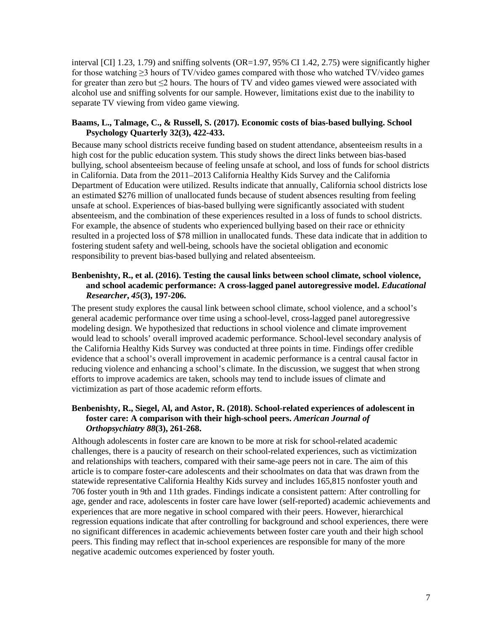interval [CI] 1.23, 1.79) and sniffing solvents  $(OR=1.97, 95\%$  CI 1.42, 2.75) were significantly higher for those watching ≥3 hours of TV/video games compared with those who watched TV/video games for greater than zero but ≤2 hours. The hours of TV and video games viewed were associated with alcohol use and sniffing solvents for our sample. However, limitations exist due to the inability to separate TV viewing from video game viewing.

#### **Baams, L., Talmage, C., & Russell, S. (2017). Economic costs of bias-based bullying. School Psychology Quarterly 32(3), 422-433.**

Because many school districts receive funding based on student attendance, absenteeism results in a high cost for the public education system. This study shows the direct links between bias-based bullying, school absenteeism because of feeling unsafe at school, and loss of funds for school districts in California. Data from the 2011–2013 California Healthy Kids Survey and the California Department of Education were utilized. Results indicate that annually, California school districts lose an estimated \$276 million of unallocated funds because of student absences resulting from feeling unsafe at school. Experiences of bias-based bullying were significantly associated with student absenteeism, and the combination of these experiences resulted in a loss of funds to school districts. For example, the absence of students who experienced bullying based on their race or ethnicity resulted in a projected loss of \$78 million in unallocated funds. These data indicate that in addition to fostering student safety and well-being, schools have the societal obligation and economic responsibility to prevent bias-based bullying and related absenteeism.

#### **Benbenishty, R., et al. (2016). Testing the causal links between school climate, school violence, and school academic performance: A cross-lagged panel autoregressive model.** *Educational Researcher***,** *45***(3), 197-206.**

The present study explores the causal link between school climate, school violence, and a school's general academic performance over time using a school-level, cross-lagged panel autoregressive modeling design. We hypothesized that reductions in school violence and climate improvement would lead to schools' overall improved academic performance. School-level secondary analysis of the California Healthy Kids Survey was conducted at three points in time. Findings offer credible evidence that a school's overall improvement in academic performance is a central causal factor in reducing violence and enhancing a school's climate. In the discussion, we suggest that when strong efforts to improve academics are taken, schools may tend to include issues of climate and victimization as part of those academic reform efforts.

#### **Benbenishty, R., Siegel, Al, and Astor, R. (2018). School-related experiences of adolescent in foster care: A comparison with their high-school peers.** *American Journal of Orthopsychiatry 88***(3), 261-268.**

Although adolescents in foster care are known to be more at risk for school-related academic challenges, there is a paucity of research on their school-related experiences, such as victimization and relationships with teachers, compared with their same-age peers not in care. The aim of this article is to compare foster-care adolescents and their schoolmates on data that was drawn from the statewide representative California Healthy Kids survey and includes 165,815 nonfoster youth and 706 foster youth in 9th and 11th grades. Findings indicate a consistent pattern: After controlling for age, gender and race, adolescents in foster care have lower (self-reported) academic achievements and experiences that are more negative in school compared with their peers. However, hierarchical regression equations indicate that after controlling for background and school experiences, there were no significant differences in academic achievements between foster care youth and their high school peers. This finding may reflect that in-school experiences are responsible for many of the more negative academic outcomes experienced by foster youth.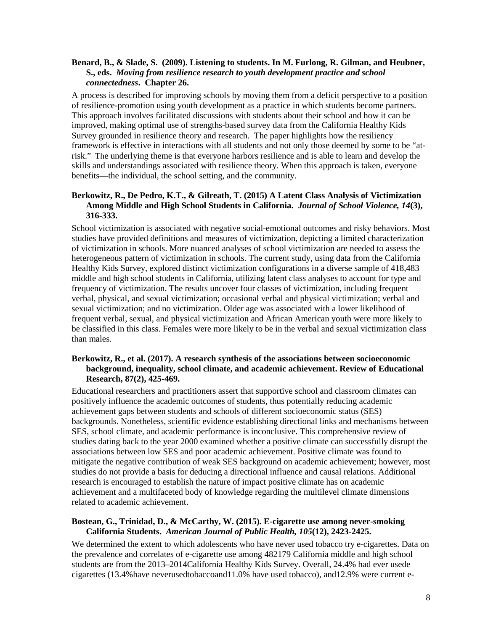#### **Benard, B., & Slade, S. (2009). Listening to students. In M. Furlong, R. Gilman, and Heubner, S., eds.** *Moving from resilience research to youth development practice and school connectedness***. Chapter 26.**

A process is described for improving schools by moving them from a deficit perspective to a position of resilience-promotion using youth development as a practice in which students become partners. This approach involves facilitated discussions with students about their school and how it can be improved, making optimal use of strengths-based survey data from the California Healthy Kids Survey grounded in resilience theory and research. The paper highlights how the resiliency framework is effective in interactions with all students and not only those deemed by some to be "atrisk." The underlying theme is that everyone harbors resilience and is able to learn and develop the skills and understandings associated with resilience theory. When this approach is taken, everyone benefits—the individual, the school setting, and the community.

#### **Berkowitz, R., De Pedro, K.T., & Gilreath, T. (2015) A Latent Class Analysis of Victimization Among Middle and High School Students in California.** *Journal of School Violence, 14***(3), 316-333.**

School victimization is associated with negative social-emotional outcomes and risky behaviors. Most studies have provided definitions and measures of victimization, depicting a limited characterization of victimization in schools. More nuanced analyses of school victimization are needed to assess the heterogeneous pattern of victimization in schools. The current study, using data from the California Healthy Kids Survey, explored distinct victimization configurations in a diverse sample of 418,483 middle and high school students in California, utilizing latent class analyses to account for type and frequency of victimization. The results uncover four classes of victimization, including frequent verbal, physical, and sexual victimization; occasional verbal and physical victimization; verbal and sexual victimization; and no victimization. Older age was associated with a lower likelihood of frequent verbal, sexual, and physical victimization and African American youth were more likely to be classified in this class. Females were more likely to be in the verbal and sexual victimization class than males.

#### **Berkowitz, R., et al. (2017). A research synthesis of the associations between socioeconomic background, inequality, school climate, and academic achievement. Review of Educational Research, 87(2), 425-469.**

Educational researchers and practitioners assert that supportive school and classroom climates can positively influence the academic outcomes of students, thus potentially reducing academic achievement gaps between students and schools of different socioeconomic status (SES) backgrounds. Nonetheless, scientific evidence establishing directional links and mechanisms between SES, school climate, and academic performance is inconclusive. This comprehensive review of studies dating back to the year 2000 examined whether a positive climate can successfully disrupt the associations between low SES and poor academic achievement. Positive climate was found to mitigate the negative contribution of weak SES background on academic achievement; however, most studies do not provide a basis for deducing a directional influence and causal relations. Additional research is encouraged to establish the nature of impact positive climate has on academic achievement and a multifaceted body of knowledge regarding the multilevel climate dimensions related to academic achievement.

#### **Bostean, G., Trinidad, D., & McCarthy, W. (2015). E-cigarette use among never-smoking California Students.** *American Journal of Public Health, 105***(12), 2423-2425.**

We determined the extent to which adolescents who have never used tobacco try e-cigarettes. Data on the prevalence and correlates of e-cigarette use among 482179 California middle and high school students are from the 2013–2014California Healthy Kids Survey. Overall, 24.4% had ever usede cigarettes (13.4%have neverusedtobaccoand11.0% have used tobacco), and12.9% were current e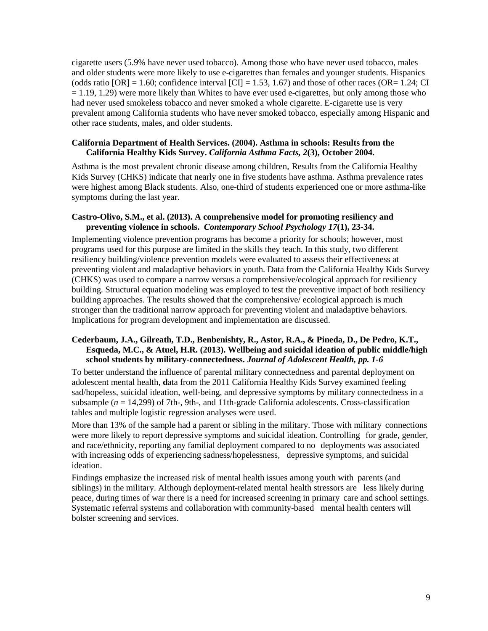cigarette users (5.9% have never used tobacco). Among those who have never used tobacco, males and older students were more likely to use e-cigarettes than females and younger students. Hispanics (odds ratio  $[OR] = 1.60$ ; confidence interval  $[CI] = 1.53, 1.67$ ) and those of other races  $(OR = 1.24; CI)$  $= 1.19, 1.29$ ) were more likely than Whites to have ever used e-cigarettes, but only among those who had never used smokeless tobacco and never smoked a whole cigarette. E-cigarette use is very prevalent among California students who have never smoked tobacco, especially among Hispanic and other race students, males, and older students.

#### **California Department of Health Services. (2004). Asthma in schools: Results from the California Healthy Kids Survey.** *California Asthma Facts, 2***(3), October 2004.**

Asthma is the most prevalent chronic disease among children. Results from the California Healthy Kids Survey (CHKS) indicate that nearly one in five students have asthma. Asthma prevalence rates were highest among Black students. Also, one-third of students experienced one or more asthma-like symptoms during the last year.

#### **Castro-Olivo, S.M., et al. (2013). A comprehensive model for promoting resiliency and preventing violence in schools.** *Contemporary School Psychology 17***(1), 23-34.**

Implementing violence prevention programs has become a priority for schools; however, most programs used for this purpose are limited in the skills they teach. In this study, two different resiliency building/violence prevention models were evaluated to assess their effectiveness at preventing violent and maladaptive behaviors in youth. Data from the California Healthy Kids Survey (CHKS) was used to compare a narrow versus a comprehensive/ecological approach for resiliency building. Structural equation modeling was employed to test the preventive impact of both resiliency building approaches. The results showed that the comprehensive/ ecological approach is much stronger than the traditional narrow approach for preventing violent and maladaptive behaviors. Implications for program development and implementation are discussed.

#### **Cederbaum, J.A., Gilreath, T.D., Benbenishty, R., Astor, R.A., & Pineda, D., De Pedro, K.T., Esqueda, M.C., & Atuel, H.R. (2013). Wellbeing and suicidal ideation of public middle/high school students by military-connectedness.** *Journal of Adolescent Health, pp. 1-6*

To better understand the influence of parental military connectedness and parental deployment on adolescent mental health, **d**ata from the 2011 California Healthy Kids Survey examined feeling sad/hopeless, suicidal ideation, well-being, and depressive symptoms by military connectedness in a subsample  $(n = 14,299)$  of 7th-, 9th-, and 11th-grade California adolescents. Cross-classification tables and multiple logistic regression analyses were used.

More than 13% of the sample had a parent or sibling in the military. Those with military connections were more likely to report depressive symptoms and suicidal ideation. Controlling for grade, gender, and race/ethnicity, reporting any familial deployment compared to no deployments was associated with increasing odds of experiencing sadness/hopelessness, depressive symptoms, and suicidal ideation.

Findings emphasize the increased risk of mental health issues among youth with parents (and siblings) in the military. Although deployment-related mental health stressors are less likely during peace, during times of war there is a need for increased screening in primary care and school settings. Systematic referral systems and collaboration with community-based mental health centers will bolster screening and services.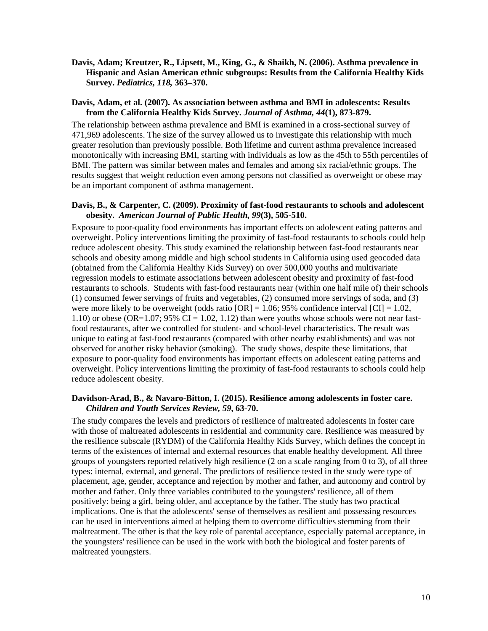**Davis, Adam; Kreutzer, R., Lipsett, M., King, G., & Shaikh, N. (2006). Asthma prevalence in Hispanic and Asian American ethnic subgroups: Results from the California Healthy Kids Survey.** *Pediatrics, 118,* **363–370.** 

#### **Davis, Adam, et al. (2007). As association between asthma and BMI in adolescents: Results from the California Healthy Kids Survey.** *Journal of Asthma, 44***(1), 873-879.**

The relationship between asthma prevalence and BMI is examined in a cross-sectional survey of 471,969 adolescents. The size of the survey allowed us to investigate this relationship with much greater resolution than previously possible. Both lifetime and current asthma prevalence increased monotonically with increasing BMI, starting with individuals as low as the 45th to 55th percentiles of BMI. The pattern was similar between males and females and among six racial/ethnic groups. The results suggest that weight reduction even among persons not classified as overweight or obese may be an important component of asthma management.

#### **Davis, B., & Carpenter, C. (2009). Proximity of fast-food restaurants to schools and adolescent obesity.** *American Journal of Public Health, 99***(3), 505-510.**

Exposure to poor-quality food environments has important effects on adolescent eating patterns and overweight. Policy interventions limiting the proximity of fast-food restaurants to schools could help reduce adolescent obesity. This study examined the relationship between fast-food restaurants near schools and obesity among middle and high school students in California using used geocoded data (obtained from the California Healthy Kids Survey) on over 500,000 youths and multivariate regression models to estimate associations between adolescent obesity and proximity of fast-food restaurants to schools. Students with fast-food restaurants near (within one half mile of) their schools (1) consumed fewer servings of fruits and vegetables, (2) consumed more servings of soda, and (3) were more likely to be overweight (odds ratio  $[OR] = 1.06$ ; 95% confidence interval  $[CI] = 1.02$ , 1.10) or obese (OR=1.07; 95% CI = 1.02, 1.12) than were youths whose schools were not near fastfood restaurants, after we controlled for student- and school-level characteristics. The result was unique to eating at fast-food restaurants (compared with other nearby establishments) and was not observed for another risky behavior (smoking). The study shows, despite these limitations, that exposure to poor-quality food environments has important effects on adolescent eating patterns and overweight. Policy interventions limiting the proximity of fast-food restaurants to schools could help reduce adolescent obesity.

#### **Davidson-Arad, B., & Navaro-Bitton, I. (2015). Resilience among adolescents in foster care.**  *Children and Youth Services Review, 59***, 63-70.**

The study compares the levels and predictors of resilience of maltreated adolescents in foster care with those of maltreated adolescents in residential and community care. Resilience was measured by the resilience subscale (RYDM) of the California Healthy Kids Survey, which defines the concept in terms of the existences of internal and external resources that enable healthy development. All three groups of youngsters reported relatively high resilience (2 on a scale ranging from 0 to 3), of all three types: internal, external, and general. The predictors of resilience tested in the study were type of placement, age, gender, acceptance and rejection by mother and father, and autonomy and control by mother and father. Only three variables contributed to the youngsters' resilience, all of them positively: being a girl, being older, and acceptance by the father. The study has two practical implications. One is that the adolescents' sense of themselves as resilient and possessing resources can be used in interventions aimed at helping them to overcome difficulties stemming from their maltreatment. The other is that the key role of parental acceptance, especially paternal acceptance, in the youngsters' resilience can be used in the work with both the biological and foster parents of maltreated youngsters.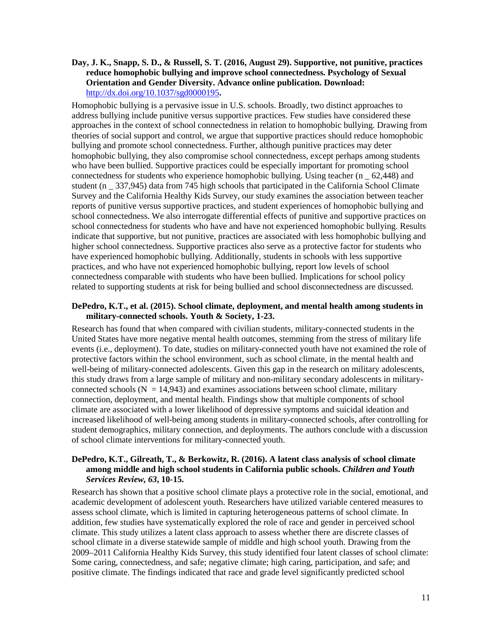#### **Day, J. K., Snapp, S. D., & Russell, S. T. (2016, August 29). Supportive, not punitive, practices reduce homophobic bullying and improve school connectedness. Psychology of Sexual Orientation and Gender Diversity. Advance online publication. Download:**  <http://dx.doi.org/10.1037/sgd0000195>**.**

Homophobic bullying is a pervasive issue in U.S. schools. Broadly, two distinct approaches to address bullying include punitive versus supportive practices. Few studies have considered these approaches in the context of school connectedness in relation to homophobic bullying. Drawing from theories of social support and control, we argue that supportive practices should reduce homophobic bullying and promote school connectedness. Further, although punitive practices may deter homophobic bullying, they also compromise school connectedness, except perhaps among students who have been bullied. Supportive practices could be especially important for promoting school connectedness for students who experience homophobic bullying. Using teacher (n \_ 62,448) and student (n - 337,945) data from 745 high schools that participated in the California School Climate Survey and the California Healthy Kids Survey, our study examines the association between teacher reports of punitive versus supportive practices, and student experiences of homophobic bullying and school connectedness. We also interrogate differential effects of punitive and supportive practices on school connectedness for students who have and have not experienced homophobic bullying. Results indicate that supportive, but not punitive, practices are associated with less homophobic bullying and higher school connectedness. Supportive practices also serve as a protective factor for students who have experienced homophobic bullying. Additionally, students in schools with less supportive practices, and who have not experienced homophobic bullying, report low levels of school connectedness comparable with students who have been bullied. Implications for school policy related to supporting students at risk for being bullied and school disconnectedness are discussed.

#### **DePedro, K.T., et al. (2015). School climate, deployment, and mental health among students in military-connected schools. Youth & Society, 1-23.**

Research has found that when compared with civilian students, military-connected students in the United States have more negative mental health outcomes, stemming from the stress of military life events (i.e., deployment). To date, studies on military-connected youth have not examined the role of protective factors within the school environment, such as school climate, in the mental health and well-being of military-connected adolescents. Given this gap in the research on military adolescents, this study draws from a large sample of military and non-military secondary adolescents in militaryconnected schools  $(N = 14,943)$  and examines associations between school climate, military connection, deployment, and mental health. Findings show that multiple components of school climate are associated with a lower likelihood of depressive symptoms and suicidal ideation and increased likelihood of well-being among students in military-connected schools, after controlling for student demographics, military connection, and deployments. The authors conclude with a discussion of school climate interventions for military-connected youth.

#### **DePedro, K.T., Gilreath, T., & Berkowitz, R. (2016). A latent class analysis of school climate among middle and high school students in California public schools.** *Children and Youth Services Review, 63***, 10-15.**

Research has shown that a positive school climate plays a protective role in the social, emotional, and academic development of adolescent youth. Researchers have utilized variable centered measures to assess school climate, which is limited in capturing heterogeneous patterns of school climate. In addition, few studies have systematically explored the role of race and gender in perceived school climate. This study utilizes a latent class approach to assess whether there are discrete classes of school climate in a diverse statewide sample of middle and high school youth. Drawing from the 2009–2011 California Healthy Kids Survey, this study identified four latent classes of school climate: Some caring, connectedness, and safe; negative climate; high caring, participation, and safe; and positive climate. The findings indicated that race and grade level significantly predicted school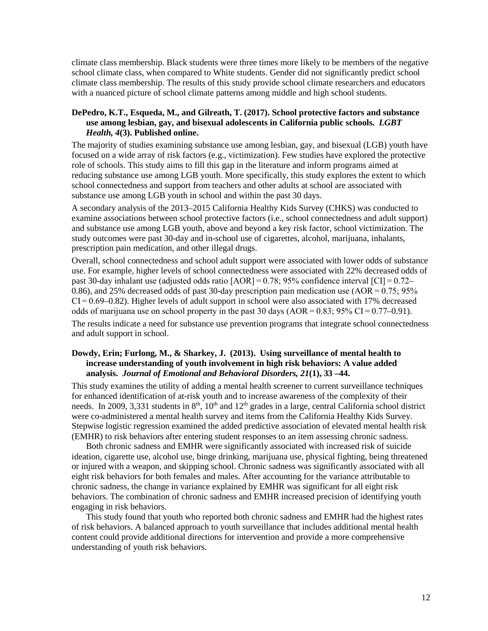climate class membership. Black students were three times more likely to be members of the negative school climate class, when compared to White students. Gender did not significantly predict school climate class membership. The results of this study provide school climate researchers and educators with a nuanced picture of school climate patterns among middle and high school students.

#### **DePedro, K.T., Esqueda, M., and Gilreath, T. (2017). School protective factors and substance use among lesbian, gay, and bisexual adolescents in California public schools.** *LGBT Health, 4***(3). Published online.**

The majority of studies examining substance use among lesbian, gay, and bisexual (LGB) youth have focused on a wide array of risk factors (e.g., victimization). Few studies have explored the protective role of schools. This study aims to fill this gap in the literature and inform programs aimed at reducing substance use among LGB youth. More specifically, this study explores the extent to which school connectedness and support from teachers and other adults at school are associated with substance use among LGB youth in school and within the past 30 days.

A secondary analysis of the 2013–2015 California Healthy Kids Survey (CHKS) was conducted to examine associations between school protective factors (i.e., school connectedness and adult support) and substance use among LGB youth, above and beyond a key risk factor, school victimization. The study outcomes were past 30-day and in-school use of cigarettes, alcohol, marijuana, inhalants, prescription pain medication, and other illegal drugs.

Overall, school connectedness and school adult support were associated with lower odds of substance use. For example, higher levels of school connectedness were associated with 22% decreased odds of past 30-day inhalant use (adjusted odds ratio  $[AOR] = 0.78$ ; 95% confidence interval  $[CI] = 0.72-$ 0.86), and 25% decreased odds of past 30-day prescription pain medication use  $(AOR = 0.75; 95\%$  $CI = 0.69-0.82$ ). Higher levels of adult support in school were also associated with 17% decreased odds of marijuana use on school property in the past 30 days  $(AOR = 0.83; 95\% CI = 0.77-0.91)$ .

The results indicate a need for substance use prevention programs that integrate school connectedness and adult support in school.

#### **Dowdy, Erin; Furlong, M., & Sharkey, J. (2013). Using surveillance of mental health to increase understanding of youth involvement in high risk behaviors: A value added analysis.** *Journal of Emotional and Behavioral Disorders, 21***(1), 33 –44.**

This study examines the utility of adding a mental health screener to current surveillance techniques for enhanced identification of at-risk youth and to increase awareness of the complexity of their needs. In 2009, 3,331 students in  $8<sup>th</sup>$ ,  $10<sup>th</sup>$  and  $12<sup>th</sup>$  grades in a large, central California school district were co-administered a mental health survey and items from the California Healthy Kids Survey. Stepwise logistic regression examined the added predictive association of elevated mental health risk (EMHR) to risk behaviors after entering student responses to an item assessing chronic sadness.

Both chronic sadness and EMHR were significantly associated with increased risk of suicide ideation, cigarette use, alcohol use, binge drinking, marijuana use, physical fighting, being threatened or injured with a weapon, and skipping school. Chronic sadness was significantly associated with all eight risk behaviors for both females and males. After accounting for the variance attributable to chronic sadness, the change in variance explained by EMHR was significant for all eight risk behaviors. The combination of chronic sadness and EMHR increased precision of identifying youth engaging in risk behaviors.

This study found that youth who reported both chronic sadness and EMHR had the highest rates of risk behaviors. A balanced approach to youth surveillance that includes additional mental health content could provide additional directions for intervention and provide a more comprehensive understanding of youth risk behaviors.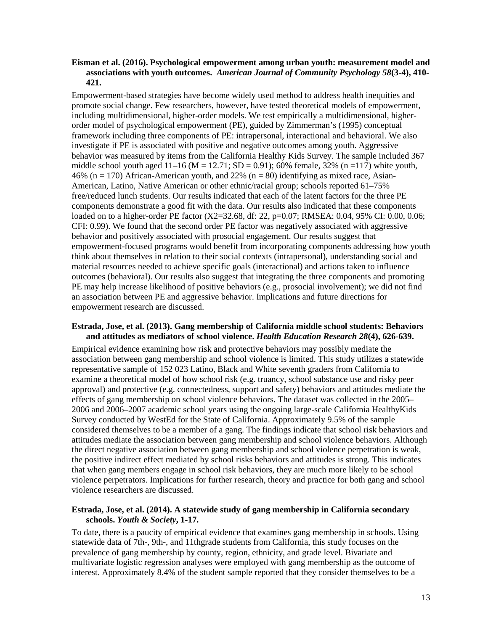#### **Eisman et al. (2016). Psychological empowerment among urban youth: measurement model and associations with youth outcomes.** *American Journal of Community Psychology 58***(3-4), 410- 421.**

Empowerment-based strategies have become widely used method to address health inequities and promote social change. Few researchers, however, have tested theoretical models of empowerment, including multidimensional, higher-order models. We test empirically a multidimensional, higherorder model of psychological empowerment (PE), guided by Zimmerman's (1995) conceptual framework including three components of PE: intrapersonal, interactional and behavioral. We also investigate if PE is associated with positive and negative outcomes among youth. Aggressive behavior was measured by items from the California Healthy Kids Survey. The sample included 367 middle school youth aged  $11-16$  (M = 12.71; SD = 0.91); 60% female, 32% (n = 117) white youth, 46% ( $n = 170$ ) African-American youth, and 22% ( $n = 80$ ) identifying as mixed race, Asian-American, Latino, Native American or other ethnic/racial group; schools reported 61–75% free/reduced lunch students. Our results indicated that each of the latent factors for the three PE components demonstrate a good fit with the data. Our results also indicated that these components loaded on to a higher-order PE factor (X2=32.68, df: 22, p=0.07; RMSEA: 0.04, 95% CI: 0.00, 0.06; CFI: 0.99). We found that the second order PE factor was negatively associated with aggressive behavior and positively associated with prosocial engagement. Our results suggest that empowerment-focused programs would benefit from incorporating components addressing how youth think about themselves in relation to their social contexts (intrapersonal), understanding social and material resources needed to achieve specific goals (interactional) and actions taken to influence outcomes (behavioral). Our results also suggest that integrating the three components and promoting PE may help increase likelihood of positive behaviors (e.g., prosocial involvement); we did not find an association between PE and aggressive behavior. Implications and future directions for empowerment research are discussed.

#### **Estrada, Jose, et al. (2013). Gang membership of California middle school students: Behaviors and attitudes as mediators of school violence.** *Health Education Research 28***(4), 626-639.**

Empirical evidence examining how risk and protective behaviors may possibly mediate the association between gang membership and school violence is limited. This study utilizes a statewide representative sample of 152 023 Latino, Black and White seventh graders from California to examine a theoretical model of how school risk (e.g. truancy, school substance use and risky peer approval) and protective (e.g. connectedness, support and safety) behaviors and attitudes mediate the effects of gang membership on school violence behaviors. The dataset was collected in the 2005– 2006 and 2006–2007 academic school years using the ongoing large-scale California HealthyKids Survey conducted by WestEd for the State of California. Approximately 9.5% of the sample considered themselves to be a member of a gang. The findings indicate that school risk behaviors and attitudes mediate the association between gang membership and school violence behaviors. Although the direct negative association between gang membership and school violence perpetration is weak, the positive indirect effect mediated by school risks behaviors and attitudes is strong. This indicates that when gang members engage in school risk behaviors, they are much more likely to be school violence perpetrators. Implications for further research, theory and practice for both gang and school violence researchers are discussed.

#### **Estrada, Jose, et al. (2014). A statewide study of gang membership in California secondary schools.** *Youth & Society***, 1-17.**

To date, there is a paucity of empirical evidence that examines gang membership in schools. Using statewide data of 7th-, 9th-, and 11thgrade students from California, this study focuses on the prevalence of gang membership by county, region, ethnicity, and grade level. Bivariate and multivariate logistic regression analyses were employed with gang membership as the outcome of interest. Approximately 8.4% of the student sample reported that they consider themselves to be a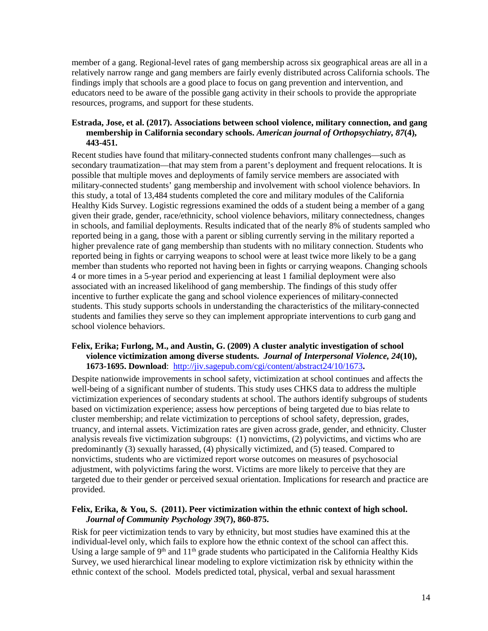member of a gang. Regional-level rates of gang membership across six geographical areas are all in a relatively narrow range and gang members are fairly evenly distributed across California schools. The findings imply that schools are a good place to focus on gang prevention and intervention, and educators need to be aware of the possible gang activity in their schools to provide the appropriate resources, programs, and support for these students.

#### **Estrada, Jose, et al. (2017). Associations between school violence, military connection, and gang membership in California secondary schools.** *American journal of Orthopsychiatry, 87***(4), 443-451.**

Recent studies have found that military-connected students confront many challenges—such as secondary traumatization—that may stem from a parent's deployment and frequent relocations. It is possible that multiple moves and deployments of family service members are associated with military-connected students' gang membership and involvement with school violence behaviors. In this study, a total of 13,484 students completed the core and military modules of the California Healthy Kids Survey. Logistic regressions examined the odds of a student being a member of a gang given their grade, gender, race/ethnicity, school violence behaviors, military connectedness, changes in schools, and familial deployments. Results indicated that of the nearly 8% of students sampled who reported being in a gang, those with a parent or sibling currently serving in the military reported a higher prevalence rate of gang membership than students with no military connection. Students who reported being in fights or carrying weapons to school were at least twice more likely to be a gang member than students who reported not having been in fights or carrying weapons. Changing schools 4 or more times in a 5-year period and experiencing at least 1 familial deployment were also associated with an increased likelihood of gang membership. The findings of this study offer incentive to further explicate the gang and school violence experiences of military-connected students. This study supports schools in understanding the characteristics of the military-connected students and families they serve so they can implement appropriate interventions to curb gang and school violence behaviors.

#### **Felix, Erika; Furlong, M., and Austin, G. (2009) A cluster analytic investigation of school violence victimization among diverse students.** *Journal of Interpersonal Violence, 24***(10), 1673-1695. Download**: <http://jiv.sagepub.com/cgi/content/abstract24/10/1673>**.**

Despite nationwide improvements in school safety, victimization at school continues and affects the well-being of a significant number of students. This study uses CHKS data to address the multiple victimization experiences of secondary students at school. The authors identify subgroups of students based on victimization experience; assess how perceptions of being targeted due to bias relate to cluster membership; and relate victimization to perceptions of school safety, depression, grades, truancy, and internal assets. Victimization rates are given across grade, gender, and ethnicity. Cluster analysis reveals five victimization subgroups: (1) nonvictims, (2) polyvictims, and victims who are predominantly (3) sexually harassed, (4) physically victimized, and (5) teased. Compared to nonvictims, students who are victimized report worse outcomes on measures of psychosocial adjustment, with polyvictims faring the worst. Victims are more likely to perceive that they are targeted due to their gender or perceived sexual orientation. Implications for research and practice are provided.

#### **Felix, Erika, & You, S. (2011). Peer victimization within the ethnic context of high school.**  *Journal of Community Psychology 39***(7), 860-875.**

Risk for peer victimization tends to vary by ethnicity, but most studies have examined this at the individual-level only, which fails to explore how the ethnic context of the school can affect this. Using a large sample of  $9<sup>th</sup>$  and  $11<sup>th</sup>$  grade students who participated in the California Healthy Kids Survey, we used hierarchical linear modeling to explore victimization risk by ethnicity within the ethnic context of the school. Models predicted total, physical, verbal and sexual harassment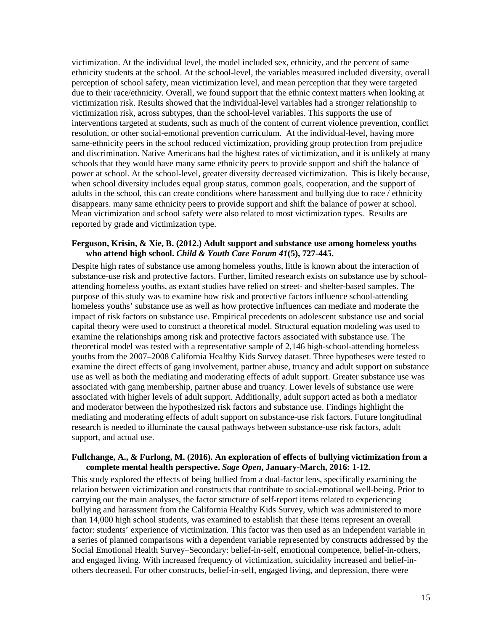victimization. At the individual level, the model included sex, ethnicity, and the percent of same ethnicity students at the school. At the school-level, the variables measured included diversity, overall perception of school safety, mean victimization level, and mean perception that they were targeted due to their race/ethnicity. Overall, we found support that the ethnic context matters when looking at victimization risk. Results showed that the individual-level variables had a stronger relationship to victimization risk, across subtypes, than the school-level variables. This supports the use of interventions targeted at students, such as much of the content of current violence prevention, conflict resolution, or other social-emotional prevention curriculum. At the individual-level, having more same-ethnicity peers in the school reduced victimization, providing group protection from prejudice and discrimination. Native Americans had the highest rates of victimization, and it is unlikely at many schools that they would have many same ethnicity peers to provide support and shift the balance of power at school. At the school-level, greater diversity decreased victimization. This is likely because, when school diversity includes equal group status, common goals, cooperation, and the support of adults in the school, this can create conditions where harassment and bullying due to race / ethnicity disappears. many same ethnicity peers to provide support and shift the balance of power at school. Mean victimization and school safety were also related to most victimization types. Results are reported by grade and victimization type.

#### **Ferguson, Krisin, & Xie, B. (2012.) Adult support and substance use among homeless youths who attend high school.** *Child & Youth Care Forum 41***(5), 727-445.**

Despite high rates of substance use among homeless youths, little is known about the interaction of substance-use risk and protective factors. Further, limited research exists on substance use by schoolattending homeless youths, as extant studies have relied on street- and shelter-based samples. The purpose of this study was to examine how risk and protective factors influence school-attending homeless youths' substance use as well as how protective influences can mediate and moderate the impact of risk factors on substance use. Empirical precedents on adolescent substance use and social capital theory were used to construct a theoretical model. Structural equation modeling was used to examine the relationships among risk and protective factors associated with substance use. The theoretical model was tested with a representative sample of 2,146 high-school-attending homeless youths from the 2007–2008 California Healthy Kids Survey dataset. Three hypotheses were tested to examine the direct effects of gang involvement, partner abuse, truancy and adult support on substance use as well as both the mediating and moderating effects of adult support. Greater substance use was associated with gang membership, partner abuse and truancy. Lower levels of substance use were associated with higher levels of adult support. Additionally, adult support acted as both a mediator and moderator between the hypothesized risk factors and substance use. Findings highlight the mediating and moderating effects of adult support on substance-use risk factors. Future longitudinal research is needed to illuminate the causal pathways between substance-use risk factors, adult support, and actual use.

#### **Fullchange, A., & Furlong, M. (2016). An exploration of effects of bullying victimization from a complete mental health perspective.** *Sage Open***, January-March, 2016: 1-12.**

This study explored the effects of being bullied from a dual-factor lens, specifically examining the relation between victimization and constructs that contribute to social-emotional well-being. Prior to carrying out the main analyses, the factor structure of self-report items related to experiencing bullying and harassment from the California Healthy Kids Survey, which was administered to more than 14,000 high school students, was examined to establish that these items represent an overall factor: students' experience of victimization. This factor was then used as an independent variable in a series of planned comparisons with a dependent variable represented by constructs addressed by the Social Emotional Health Survey–Secondary: belief-in-self, emotional competence, belief-in-others, and engaged living. With increased frequency of victimization, suicidality increased and belief-inothers decreased. For other constructs, belief-in-self, engaged living, and depression, there were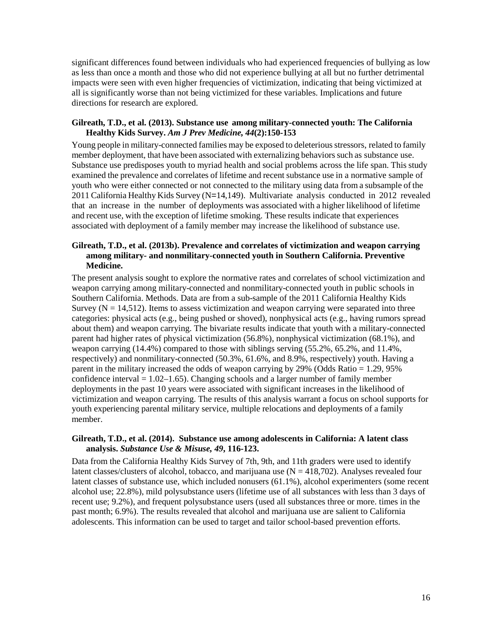significant differences found between individuals who had experienced frequencies of bullying as low as less than once a month and those who did not experience bullying at all but no further detrimental impacts were seen with even higher frequencies of victimization, indicating that being victimized at all is significantly worse than not being victimized for these variables. Implications and future directions for research are explored.

#### **Gilreath, T.D., et al. (2013). Substance use among military-connected youth: The California Healthy Kids Survey.** *Am J Prev Medicine, 44***(2):150-153**

Young people in military-connected families may be exposed to deleterious stressors, related to family member deployment, that have been associated with externalizing behaviors such as substance use. Substance use predisposes youth to myriad health and social problems across the life span. This study examined the prevalence and correlates of lifetime and recent substance use in a normative sample of youth who were either connected or not connected to the military using data from a subsample of the 2011 California Healthy Kids Survey (N=14,149). Multivariate analysis conducted in 2012 revealed that an increase in the number of deployments was associated with a higher likelihood of lifetime and recent use, with the exception of lifetime smoking. These results indicate that experiences associated with deployment of a family member may increase the likelihood of substance use.

#### **Gilreath, T.D., et al. (2013b). Prevalence and correlates of victimization and weapon carrying among military- and nonmilitary-connected youth in Southern California. Preventive Medicine.**

The present analysis sought to explore the normative rates and correlates of school victimization and weapon carrying among military-connected and nonmilitary-connected youth in public schools in Southern California. Methods. Data are from a sub-sample of the 2011 California Healthy Kids Survey  $(N = 14,512)$ . Items to assess victimization and weapon carrying were separated into three categories: physical acts (e.g., being pushed or shoved), nonphysical acts (e.g., having rumors spread about them) and weapon carrying. The bivariate results indicate that youth with a military-connected parent had higher rates of physical victimization (56.8%), nonphysical victimization (68.1%), and weapon carrying (14.4%) compared to those with siblings serving (55.2%, 65.2%, and 11.4%, respectively) and nonmilitary-connected (50.3%, 61.6%, and 8.9%, respectively) youth. Having a parent in the military increased the odds of weapon carrying by 29% (Odds Ratio = 1.29, 95% confidence interval  $= 1.02 - 1.65$ ). Changing schools and a larger number of family member deployments in the past 10 years were associated with significant increases in the likelihood of victimization and weapon carrying. The results of this analysis warrant a focus on school supports for youth experiencing parental military service, multiple relocations and deployments of a family member.

#### **Gilreath, T.D., et al. (2014). Substance use among adolescents in California: A latent class analysis.** *Substance Use & Misuse, 49***, 116-123.**

Data from the California Healthy Kids Survey of 7th, 9th, and 11th graders were used to identify latent classes/clusters of alcohol, tobacco, and marijuana use  $(N = 418,702)$ . Analyses revealed four latent classes of substance use, which included nonusers (61.1%), alcohol experimenters (some recent alcohol use; 22.8%), mild polysubstance users (lifetime use of all substances with less than 3 days of recent use; 9.2%), and frequent polysubstance users (used all substances three or more. times in the past month; 6.9%). The results revealed that alcohol and marijuana use are salient to California adolescents. This information can be used to target and tailor school-based prevention efforts.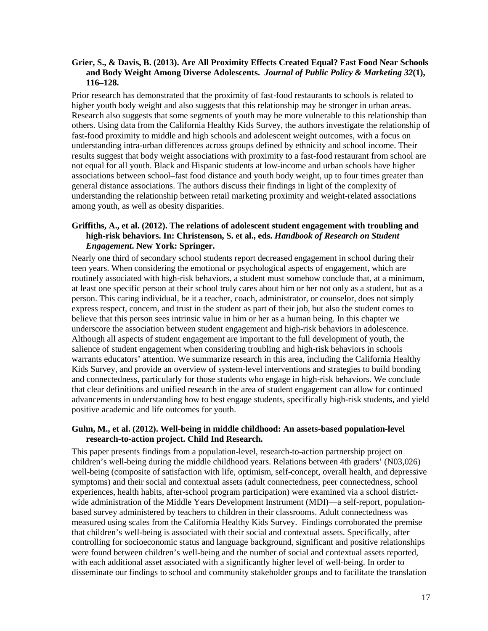#### **Grier, S., & Davis, B. (2013). Are All Proximity Effects Created Equal? Fast Food Near Schools and Body Weight Among Diverse Adolescents.** *Journal of Public Policy & Marketing 32***(1), 116–128.**

Prior research has demonstrated that the proximity of fast-food restaurants to schools is related to higher youth body weight and also suggests that this relationship may be stronger in urban areas. Research also suggests that some segments of youth may be more vulnerable to this relationship than others. Using data from the California Healthy Kids Survey, the authors investigate the relationship of fast-food proximity to middle and high schools and adolescent weight outcomes, with a focus on understanding intra-urban differences across groups defined by ethnicity and school income. Their results suggest that body weight associations with proximity to a fast-food restaurant from school are not equal for all youth. Black and Hispanic students at low-income and urban schools have higher associations between school–fast food distance and youth body weight, up to four times greater than general distance associations. The authors discuss their findings in light of the complexity of understanding the relationship between retail marketing proximity and weight-related associations among youth, as well as obesity disparities.

#### **Griffiths, A., et al. (2012). The relations of adolescent student engagement with troubling and high-risk behaviors. In: Christenson, S. et al., eds.** *Handbook of Research on Student Engagement***. New York: Springer.**

Nearly one third of secondary school students report decreased engagement in school during their teen years. When considering the emotional or psychological aspects of engagement, which are routinely associated with high-risk behaviors, a student must somehow conclude that, at a minimum, at least one specific person at their school truly cares about him or her not only as a student, but as a person. This caring individual, be it a teacher, coach, administrator, or counselor, does not simply express respect, concern, and trust in the student as part of their job, but also the student comes to believe that this person sees intrinsic value in him or her as a human being. In this chapter we underscore the association between student engagement and high-risk behaviors in adolescence. Although all aspects of student engagement are important to the full development of youth, the salience of student engagement when considering troubling and high-risk behaviors in schools warrants educators' attention. We summarize research in this area, including the California Healthy Kids Survey, and provide an overview of system-level interventions and strategies to build bonding and connectedness, particularly for those students who engage in high-risk behaviors. We conclude that clear definitions and unified research in the area of student engagement can allow for continued advancements in understanding how to best engage students, specifically high-risk students, and yield positive academic and life outcomes for youth.

#### **Guhn, M., et al. (2012). Well-being in middle childhood: An assets-based population-level research-to-action project. Child Ind Research.**

This paper presents findings from a population-level, research-to-action partnership project on children's well-being during the middle childhood years. Relations between 4th graders' (N03,026) well-being (composite of satisfaction with life, optimism, self-concept, overall health, and depressive symptoms) and their social and contextual assets (adult connectedness, peer connectedness, school experiences, health habits, after-school program participation) were examined via a school districtwide administration of the Middle Years Development Instrument (MDI)—a self-report, populationbased survey administered by teachers to children in their classrooms. Adult connectedness was measured using scales from the California Healthy Kids Survey. Findings corroborated the premise that children's well-being is associated with their social and contextual assets. Specifically, after controlling for socioeconomic status and language background, significant and positive relationships were found between children's well-being and the number of social and contextual assets reported, with each additional asset associated with a significantly higher level of well-being. In order to disseminate our findings to school and community stakeholder groups and to facilitate the translation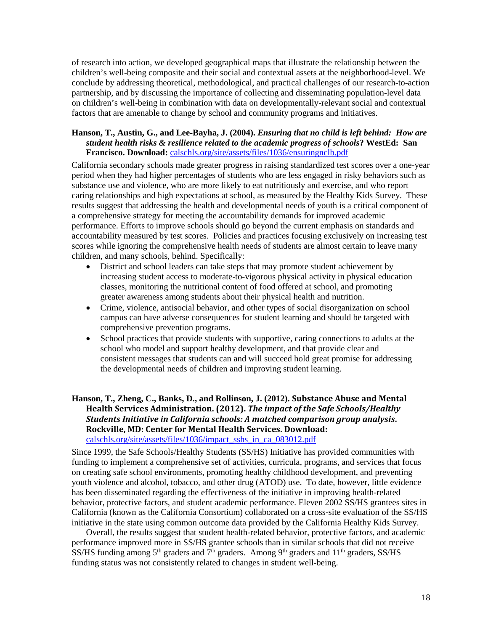of research into action, we developed geographical maps that illustrate the relationship between the children's well-being composite and their social and contextual assets at the neighborhood-level. We conclude by addressing theoretical, methodological, and practical challenges of our research-to-action partnership, and by discussing the importance of collecting and disseminating population-level data on children's well-being in combination with data on developmentally-relevant social and contextual factors that are amenable to change by school and community programs and initiatives.

#### **Hanson, T., Austin, G., and Lee-Bayha, J. (2004).** *Ensuring that no child is left behind: How are student health risks & resilience related to the academic progress of schools***? WestEd: San Francisco. Download:** calschls.org/site/assets/files/1036/ensuringnclb.pdf

California secondary schools made greater progress in raising standardized test scores over a one-year period when they had higher percentages of students who are less engaged in risky behaviors such as substance use and violence, who are more likely to eat nutritiously and exercise, and who report caring relationships and high expectations at school, as measured by the Healthy Kids Survey. These results suggest that addressing the health and developmental needs of youth is a critical component of a comprehensive strategy for meeting the accountability demands for improved academic performance. Efforts to improve schools should go beyond the current emphasis on standards and accountability measured by test scores. Policies and practices focusing exclusively on increasing test scores while ignoring the comprehensive health needs of students are almost certain to leave many children, and many schools, behind. Specifically:

- District and school leaders can take steps that may promote student achievement by increasing student access to moderate-to-vigorous physical activity in physical education classes, monitoring the nutritional content of food offered at school, and promoting greater awareness among students about their physical health and nutrition.
- Crime, violence, antisocial behavior, and other types of social disorganization on school campus can have adverse consequences for student learning and should be targeted with comprehensive prevention programs.
- School practices that provide students with supportive, caring connections to adults at the school who model and support healthy development, and that provide clear and consistent messages that students can and will succeed hold great promise for addressing the developmental needs of children and improving student learning.

#### **Hanson, T., Zheng, C., Banks, D., and Rollinson, J. (2012). Substance Abuse and Mental Health Services Administration. (2012).** *The impact of the Safe Schools/Healthy Students Initiative in California schools: A matched comparison group analysis***. Rockville, MD: Center for Mental Health Services. Download:**  calschls.org/site/assets/files/1036/impact\_sshs\_in\_ca\_083012.pdf

Since 1999, the Safe Schools/Healthy Students (SS/HS) Initiative has provided communities with funding to implement a comprehensive set of activities, curricula, programs, and services that focus on creating safe school environments, promoting healthy childhood development, and preventing youth violence and alcohol, tobacco, and other drug (ATOD) use. To date, however, little evidence has been disseminated regarding the effectiveness of the initiative in improving health-related behavior, protective factors, and student academic performance. Eleven 2002 SS/HS grantees sites in California (known as the California Consortium) collaborated on a cross-site evaluation of the SS/HS initiative in the state using common outcome data provided by the California Healthy Kids Survey.

Overall, the results suggest that student health-related behavior, protective factors, and academic performance improved more in SS/HS grantee schools than in similar schools that did not receive SS/HS funding among  $5<sup>th</sup>$  graders and  $7<sup>th</sup>$  graders. Among  $9<sup>th</sup>$  graders and  $11<sup>th</sup>$  graders, SS/HS funding status was not consistently related to changes in student well-being.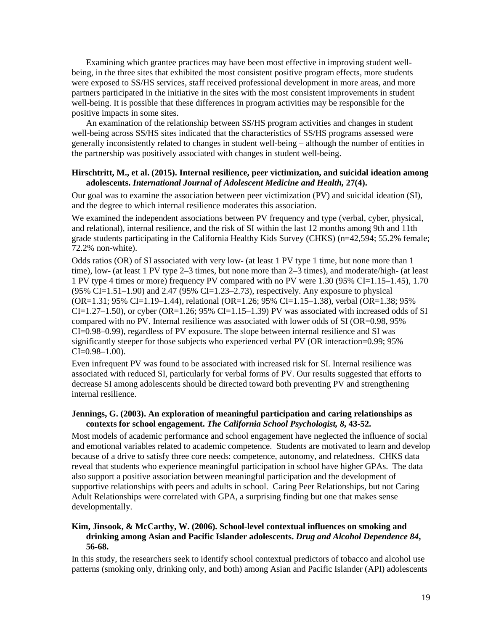Examining which grantee practices may have been most effective in improving student wellbeing, in the three sites that exhibited the most consistent positive program effects, more students were exposed to SS/HS services, staff received professional development in more areas, and more partners participated in the initiative in the sites with the most consistent improvements in student well-being. It is possible that these differences in program activities may be responsible for the positive impacts in some sites.

An examination of the relationship between SS/HS program activities and changes in student well-being across SS/HS sites indicated that the characteristics of SS/HS programs assessed were generally inconsistently related to changes in student well-being – although the number of entities in the partnership was positively associated with changes in student well-being.

#### **Hirschtritt, M., et al. (2015). Internal resilience, peer victimization, and suicidal ideation among adolescents.** *International Journal of Adolescent Medicine and Health,* **27(4).**

Our goal was to examine the association between peer victimization (PV) and suicidal ideation (SI), and the degree to which internal resilience moderates this association.

We examined the independent associations between PV frequency and type (verbal, cyber, physical, and relational), internal resilience, and the risk of SI within the last 12 months among 9th and 11th grade students participating in the California Healthy Kids Survey (CHKS) (n=42,594; 55.2% female; 72.2% non-white).

Odds ratios (OR) of SI associated with very low- (at least 1 PV type 1 time, but none more than 1 time), low- (at least 1 PV type 2–3 times, but none more than 2–3 times), and moderate/high- (at least 1 PV type 4 times or more) frequency PV compared with no PV were 1.30 (95% CI=1.15–1.45), 1.70  $(95\% \text{ CI} = 1.51 - 1.90)$  and 2.47 (95% CI=1.23–2.73), respectively. Any exposure to physical (OR=1.31; 95% CI=1.19–1.44), relational (OR=1.26; 95% CI=1.15–1.38), verbal (OR=1.38; 95%  $CI=1.27-1.50$ ), or cyber (OR=1.26; 95% CI=1.15–1.39) PV was associated with increased odds of SI compared with no PV. Internal resilience was associated with lower odds of SI (OR=0.98, 95% CI=0.98–0.99), regardless of PV exposure. The slope between internal resilience and SI was significantly steeper for those subjects who experienced verbal PV (OR interaction=0.99; 95% CI=0.98–1.00).

Even infrequent PV was found to be associated with increased risk for SI. Internal resilience was associated with reduced SI, particularly for verbal forms of PV. Our results suggested that efforts to decrease SI among adolescents should be directed toward both preventing PV and strengthening internal resilience.

#### **Jennings, G. (2003). An exploration of meaningful participation and caring relationships as contexts for school engagement.** *The California School Psychologist, 8***, 43-52.**

Most models of academic performance and school engagement have neglected the influence of social and emotional variables related to academic competence. Students are motivated to learn and develop because of a drive to satisfy three core needs: competence, autonomy, and relatedness. CHKS data reveal that students who experience meaningful participation in school have higher GPAs. The data also support a positive association between meaningful participation and the development of supportive relationships with peers and adults in school. Caring Peer Relationships, but not Caring Adult Relationships were correlated with GPA, a surprising finding but one that makes sense developmentally.

#### **Kim, Jinsook, & McCarthy, W. (2006). School-level contextual influences on smoking and drinking among Asian and Pacific Islander adolescents.** *Drug and Alcohol Dependence 84***, 56-68.**

In this study, the researchers seek to identify school contextual predictors of tobacco and alcohol use patterns (smoking only, drinking only, and both) among Asian and Pacific Islander (API) adolescents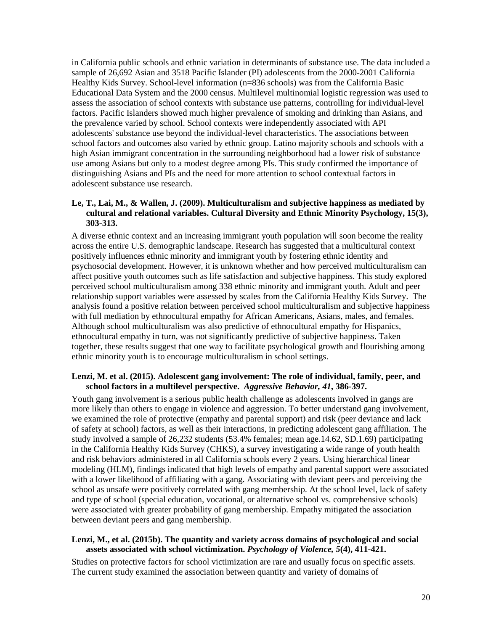in California public schools and ethnic variation in determinants of substance use. The data included a sample of 26,692 Asian and 3518 Pacific Islander (PI) adolescents from the 2000-2001 California Healthy Kids Survey. School-level information (n=836 schools) was from the California Basic Educational Data System and the 2000 census. Multilevel multinomial logistic regression was used to assess the association of school contexts with substance use patterns, controlling for individual-level factors. Pacific Islanders showed much higher prevalence of smoking and drinking than Asians, and the prevalence varied by school. School contexts were independently associated with API adolescents' substance use beyond the individual-level characteristics. The associations between school factors and outcomes also varied by ethnic group. Latino majority schools and schools with a high Asian immigrant concentration in the surrounding neighborhood had a lower risk of substance use among Asians but only to a modest degree among PIs. This study confirmed the importance of distinguishing Asians and PIs and the need for more attention to school contextual factors in adolescent substance use research.

#### **Le, T., Lai, M., & Wallen, J. (2009). Multiculturalism and subjective happiness as mediated by cultural and relational variables. Cultural Diversity and Ethnic Minority Psychology, 15(3), 303-313.**

A diverse ethnic context and an increasing immigrant youth population will soon become the reality across the entire U.S. demographic landscape. Research has suggested that a multicultural context positively influences ethnic minority and immigrant youth by fostering ethnic identity and psychosocial development. However, it is unknown whether and how perceived multiculturalism can affect positive youth outcomes such as life satisfaction and subjective happiness. This study explored perceived school multiculturalism among 338 ethnic minority and immigrant youth. Adult and peer relationship support variables were assessed by scales from the California Healthy Kids Survey. The analysis found a positive relation between perceived school multiculturalism and subjective happiness with full mediation by ethnocultural empathy for African Americans, Asians, males, and females. Although school multiculturalism was also predictive of ethnocultural empathy for Hispanics, ethnocultural empathy in turn, was not significantly predictive of subjective happiness. Taken together, these results suggest that one way to facilitate psychological growth and flourishing among ethnic minority youth is to encourage multiculturalism in school settings.

#### **Lenzi, M. et al. (2015). Adolescent gang involvement: The role of individual, family, peer, and school factors in a multilevel perspective.** *Aggressive Behavior, 41***, 386-397.**

Youth gang involvement is a serious public health challenge as adolescents involved in gangs are more likely than others to engage in violence and aggression. To better understand gang involvement, we examined the role of protective (empathy and parental support) and risk (peer deviance and lack of safety at school) factors, as well as their interactions, in predicting adolescent gang affiliation. The study involved a sample of 26,232 students (53.4% females; mean age.14.62, SD.1.69) participating in the California Healthy Kids Survey (CHKS), a survey investigating a wide range of youth health and risk behaviors administered in all California schools every 2 years. Using hierarchical linear modeling (HLM), findings indicated that high levels of empathy and parental support were associated with a lower likelihood of affiliating with a gang. Associating with deviant peers and perceiving the school as unsafe were positively correlated with gang membership. At the school level, lack of safety and type of school (special education, vocational, or alternative school vs. comprehensive schools) were associated with greater probability of gang membership. Empathy mitigated the association between deviant peers and gang membership.

#### **Lenzi, M., et al. (2015b). The quantity and variety across domains of psychological and social assets associated with school victimization.** *Psychology of Violence, 5***(4), 411-421.**

Studies on protective factors for school victimization are rare and usually focus on specific assets. The current study examined the association between quantity and variety of domains of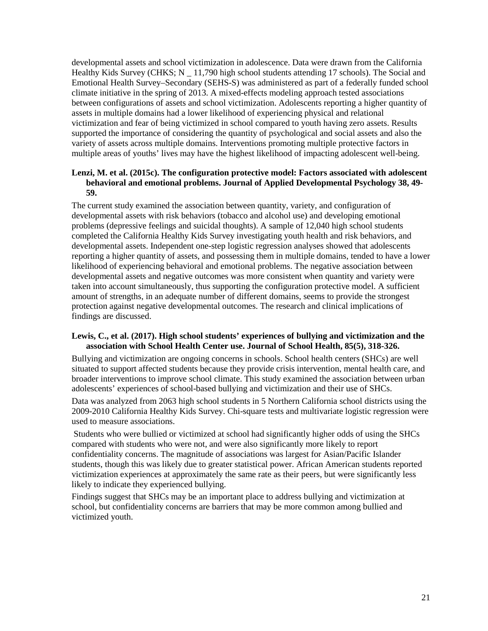developmental assets and school victimization in adolescence. Data were drawn from the California Healthy Kids Survey (CHKS; N \_ 11,790 high school students attending 17 schools). The Social and Emotional Health Survey–Secondary (SEHS-S) was administered as part of a federally funded school climate initiative in the spring of 2013. A mixed-effects modeling approach tested associations between configurations of assets and school victimization. Adolescents reporting a higher quantity of assets in multiple domains had a lower likelihood of experiencing physical and relational victimization and fear of being victimized in school compared to youth having zero assets. Results supported the importance of considering the quantity of psychological and social assets and also the variety of assets across multiple domains. Interventions promoting multiple protective factors in multiple areas of youths' lives may have the highest likelihood of impacting adolescent well-being.

#### **Lenzi, M. et al. (2015c). The configuration protective model: Factors associated with adolescent behavioral and emotional problems. Journal of Applied Developmental Psychology 38, 49- 59.**

The current study examined the association between quantity, variety, and configuration of developmental assets with risk behaviors (tobacco and alcohol use) and developing emotional problems (depressive feelings and suicidal thoughts). A sample of 12,040 high school students completed the California Healthy Kids Survey investigating youth health and risk behaviors, and developmental assets. Independent one-step logistic regression analyses showed that adolescents reporting a higher quantity of assets, and possessing them in multiple domains, tended to have a lower likelihood of experiencing behavioral and emotional problems. The negative association between developmental assets and negative outcomes was more consistent when quantity and variety were taken into account simultaneously, thus supporting the configuration protective model. A sufficient amount of strengths, in an adequate number of different domains, seems to provide the strongest protection against negative developmental outcomes. The research and clinical implications of findings are discussed.

#### **Lewis, C., et al. (2017). High school students' experiences of bullying and victimization and the association with School Health Center use. Journal of School Health, 85(5), 318-326.**

Bullying and victimization are ongoing concerns in schools. School health centers (SHCs) are well situated to support affected students because they provide crisis intervention, mental health care, and broader interventions to improve school climate. This study examined the association between urban adolescents' experiences of school-based bullying and victimization and their use of SHCs.

Data was analyzed from 2063 high school students in 5 Northern California school districts using the 2009-2010 California Healthy Kids Survey. Chi-square tests and multivariate logistic regression were used to measure associations.

Students who were bullied or victimized at school had significantly higher odds of using the SHCs compared with students who were not, and were also significantly more likely to report confidentiality concerns. The magnitude of associations was largest for Asian/Pacific Islander students, though this was likely due to greater statistical power. African American students reported victimization experiences at approximately the same rate as their peers, but were significantly less likely to indicate they experienced bullying.

Findings suggest that SHCs may be an important place to address bullying and victimization at school, but confidentiality concerns are barriers that may be more common among bullied and victimized youth.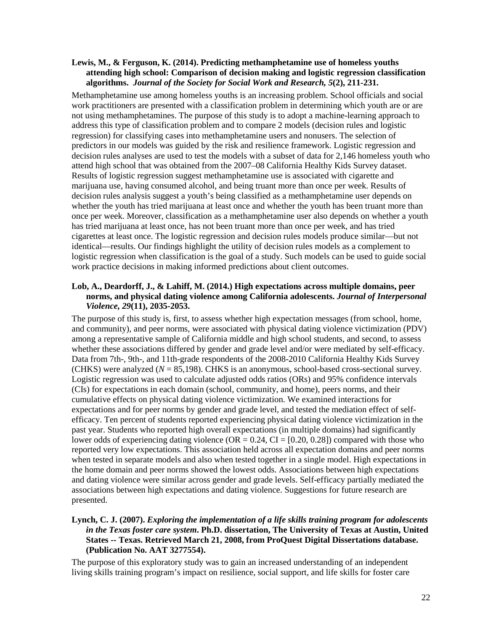#### **Lewis, M., & Ferguson, K. (2014). Predicting methamphetamine use of homeless youths attending high school: Comparison of decision making and logistic regression classification algorithms.** *Journal of the Society for Social Work and Research, 5***(2), 211-231.**

Methamphetamine use among homeless youths is an increasing problem. School officials and social work practitioners are presented with a classification problem in determining which youth are or are not using methamphetamines. The purpose of this study is to adopt a machine-learning approach to address this type of classification problem and to compare 2 models (decision rules and logistic regression) for classifying cases into methamphetamine users and nonusers. The selection of predictors in our models was guided by the risk and resilience framework. Logistic regression and decision rules analyses are used to test the models with a subset of data for 2,146 homeless youth who attend high school that was obtained from the 2007–08 California Healthy Kids Survey dataset. Results of logistic regression suggest methamphetamine use is associated with cigarette and marijuana use, having consumed alcohol, and being truant more than once per week. Results of decision rules analysis suggest a youth's being classified as a methamphetamine user depends on whether the youth has tried marijuana at least once and whether the youth has been truant more than once per week. Moreover, classification as a methamphetamine user also depends on whether a youth has tried marijuana at least once, has not been truant more than once per week, and has tried cigarettes at least once. The logistic regression and decision rules models produce similar—but not identical—results. Our findings highlight the utility of decision rules models as a complement to logistic regression when classification is the goal of a study. Such models can be used to guide social work practice decisions in making informed predictions about client outcomes.

#### **Lob, A., Deardorff, J., & Lahiff, M. (2014.) High expectations across multiple domains, peer norms, and physical dating violence among California adolescents.** *Journal of Interpersonal Violence, 29***(11), 2035-2053.**

The purpose of this study is, first, to assess whether high expectation messages (from school, home, and community), and peer norms, were associated with physical dating violence victimization (PDV) among a representative sample of California middle and high school students, and second, to assess whether these associations differed by gender and grade level and/or were mediated by self-efficacy. Data from 7th-, 9th-, and 11th-grade respondents of the 2008-2010 California Healthy Kids Survey (CHKS) were analyzed (*N* = 85,198). CHKS is an anonymous, school-based cross-sectional survey. Logistic regression was used to calculate adjusted odds ratios (ORs) and 95% confidence intervals (CIs) for expectations in each domain (school, community, and home), peers norms, and their cumulative effects on physical dating violence victimization. We examined interactions for expectations and for peer norms by gender and grade level, and tested the mediation effect of selfefficacy. Ten percent of students reported experiencing physical dating violence victimization in the past year. Students who reported high overall expectations (in multiple domains) had significantly lower odds of experiencing dating violence (OR =  $0.24$ , CI = [0.20, 0.28]) compared with those who reported very low expectations. This association held across all expectation domains and peer norms when tested in separate models and also when tested together in a single model. High expectations in the home domain and peer norms showed the lowest odds. Associations between high expectations and dating violence were similar across gender and grade levels. Self-efficacy partially mediated the associations between high expectations and dating violence. Suggestions for future research are presented.

#### **Lynch, C. J. (2007).** *Exploring the implementation of a life skills training program for adolescents in the Texas foster care system***. Ph.D. dissertation, The University of Texas at Austin, United States -- Texas. Retrieved March 21, 2008, from ProQuest Digital Dissertations database. (Publication No. AAT 3277554).**

The purpose of this exploratory study was to gain an increased understanding of an independent living skills training program's impact on resilience, social support, and life skills for foster care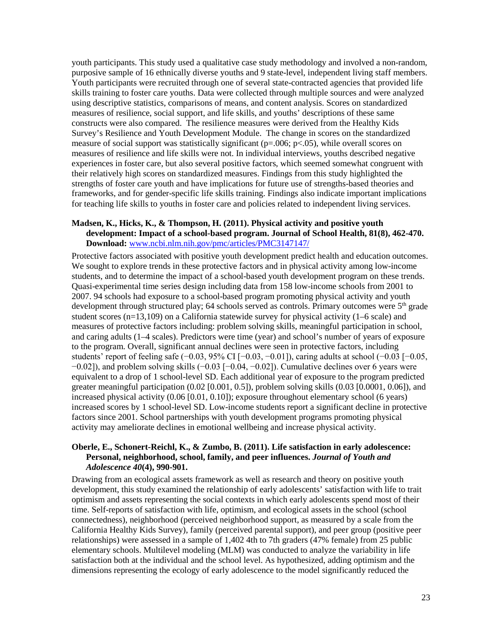youth participants. This study used a qualitative case study methodology and involved a non-random, purposive sample of 16 ethnically diverse youths and 9 state-level, independent living staff members. Youth participants were recruited through one of several state-contracted agencies that provided life skills training to foster care youths. Data were collected through multiple sources and were analyzed using descriptive statistics, comparisons of means, and content analysis. Scores on standardized measures of resilience, social support, and life skills, and youths' descriptions of these same constructs were also compared. The resilience measures were derived from the Healthy Kids Survey's Resilience and Youth Development Module. The change in scores on the standardized measure of social support was statistically significant ( $p=0.006$ ;  $p<.05$ ), while overall scores on measures of resilience and life skills were not. In individual interviews, youths described negative experiences in foster care, but also several positive factors, which seemed somewhat congruent with their relatively high scores on standardized measures. Findings from this study highlighted the strengths of foster care youth and have implications for future use of strengths-based theories and frameworks, and for gender-specific life skills training. Findings also indicate important implications for teaching life skills to youths in foster care and policies related to independent living services.

#### **Madsen, K., Hicks, K., & Thompson, H. (2011). Physical activity and positive youth development: Impact of a school-based program. Journal of School Health, 81(8), 462-470. Download:** www.ncbi.nlm.nih.gov/pmc/articles/PMC3147147/

Protective factors associated with positive youth development predict health and education outcomes. We sought to explore trends in these protective factors and in physical activity among low-income students, and to determine the impact of a school-based youth development program on these trends. Quasi-experimental time series design including data from 158 low-income schools from 2001 to 2007. 94 schools had exposure to a school-based program promoting physical activity and youth development through structured play; 64 schools served as controls. Primary outcomes were  $5<sup>th</sup>$  grade student scores (n=13,109) on a California statewide survey for physical activity (1–6 scale) and measures of protective factors including: problem solving skills, meaningful participation in school, and caring adults (1–4 scales). Predictors were time (year) and school's number of years of exposure to the program. Overall, significant annual declines were seen in protective factors, including students' report of feeling safe  $(-0.03, 95\% \text{ CI } [-0.03, -0.01]$ ), caring adults at school  $(-0.03 \text{ } [-0.05,$ −0.02]), and problem solving skills (−0.03 [−0.04, −0.02]). Cumulative declines over 6 years were equivalent to a drop of 1 school-level SD. Each additional year of exposure to the program predicted greater meaningful participation (0.02 [0.001, 0.5]), problem solving skills (0.03 [0.0001, 0.06]), and increased physical activity (0.06 [0.01, 0.10]); exposure throughout elementary school (6 years) increased scores by 1 school-level SD. Low-income students report a significant decline in protective factors since 2001. School partnerships with youth development programs promoting physical activity may ameliorate declines in emotional wellbeing and increase physical activity.

#### **Oberle, E., Schonert-Reichl, K., & Zumbo, B. (2011). Life satisfaction in early adolescence: Personal, neighborhood, school, family, and peer influences.** *Journal of Youth and Adolescence 40***(4), 990-901.**

Drawing from an ecological assets framework as well as research and theory on positive youth development, this study examined the relationship of early adolescents' satisfaction with life to trait optimism and assets representing the social contexts in which early adolescents spend most of their time. Self-reports of satisfaction with life, optimism, and ecological assets in the school (school connectedness), neighborhood (perceived neighborhood support, as measured by a scale from the California Healthy Kids Survey), family (perceived parental support), and peer group (positive peer relationships) were assessed in a sample of 1,402 4th to 7th graders (47% female) from 25 public elementary schools. Multilevel modeling (MLM) was conducted to analyze the variability in life satisfaction both at the individual and the school level. As hypothesized, adding optimism and the dimensions representing the ecology of early adolescence to the model significantly reduced the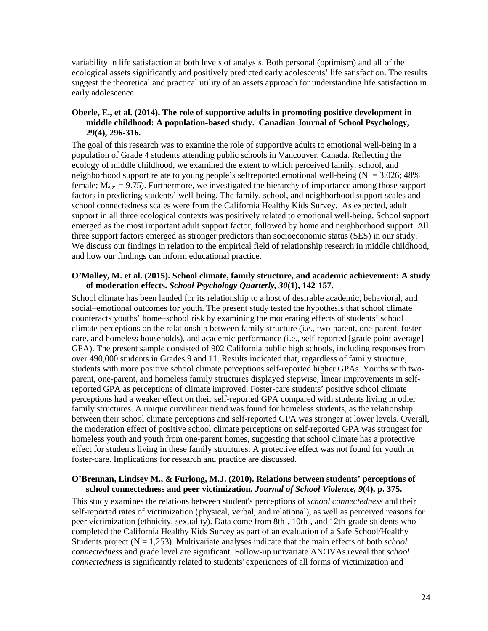variability in life satisfaction at both levels of analysis. Both personal (optimism) and all of the ecological assets significantly and positively predicted early adolescents' life satisfaction. The results suggest the theoretical and practical utility of an assets approach for understanding life satisfaction in early adolescence.

#### **Oberle, E., et al. (2014). The role of supportive adults in promoting positive development in middle childhood: A population-based study. Canadian Journal of School Psychology, 29(4), 296-316.**

The goal of this research was to examine the role of supportive adults to emotional well-being in a population of Grade 4 students attending public schools in Vancouver, Canada. Reflecting the ecology of middle childhood, we examined the extent to which perceived family, school, and neighborhood support relate to young people's selfreported emotional well-being ( $N = 3,026; 48\%$ ) female;  $M_{\text{age}} = 9.75$ ). Furthermore, we investigated the hierarchy of importance among those support factors in predicting students' well-being. The family, school, and neighborhood support scales and school connectedness scales were from the California Healthy Kids Survey. As expected, adult support in all three ecological contexts was positively related to emotional well-being. School support emerged as the most important adult support factor, followed by home and neighborhood support. All three support factors emerged as stronger predictors than socioeconomic status (SES) in our study. We discuss our findings in relation to the empirical field of relationship research in middle childhood, and how our findings can inform educational practice.

#### **O'Malley, M. et al. (2015). School climate, family structure, and academic achievement: A study of moderation effects.** *School Psychology Quarterly, 30***(1), 142-157.**

School climate has been lauded for its relationship to a host of desirable academic, behavioral, and social–emotional outcomes for youth. The present study tested the hypothesis that school climate counteracts youths' home–school risk by examining the moderating effects of students' school climate perceptions on the relationship between family structure (i.e., two-parent, one-parent, fostercare, and homeless households), and academic performance (i.e., self-reported [grade point average] GPA). The present sample consisted of 902 California public high schools, including responses from over 490,000 students in Grades 9 and 11. Results indicated that, regardless of family structure, students with more positive school climate perceptions self-reported higher GPAs. Youths with twoparent, one-parent, and homeless family structures displayed stepwise, linear improvements in selfreported GPA as perceptions of climate improved. Foster-care students' positive school climate perceptions had a weaker effect on their self-reported GPA compared with students living in other family structures. A unique curvilinear trend was found for homeless students, as the relationship between their school climate perceptions and self-reported GPA was stronger at lower levels. Overall, the moderation effect of positive school climate perceptions on self-reported GPA was strongest for homeless youth and youth from one-parent homes, suggesting that school climate has a protective effect for students living in these family structures. A protective effect was not found for youth in foster-care. Implications for research and practice are discussed.

#### **O'Brennan, Lindsey M., & Furlong, M.J. (2010). Relations between students' perceptions of school connectedness and peer victimization.** *Journal of School Violence, 9***(4), p. 375.**

This study examines the relations between student's perceptions of *school connectedness* and their self-reported rates of victimization (physical, verbal, and relational), as well as perceived reasons for peer victimization (ethnicity, sexuality). Data come from 8th-, 10th-, and 12th-grade students who completed the California Healthy Kids Survey as part of an evaluation of a Safe School/Healthy Students project  $(N = 1,253)$ . Multivariate analyses indicate that the main effects of both *school connectedness* and grade level are significant. Follow-up univariate ANOVAs reveal that *school connectedness* is significantly related to students' experiences of all forms of victimization and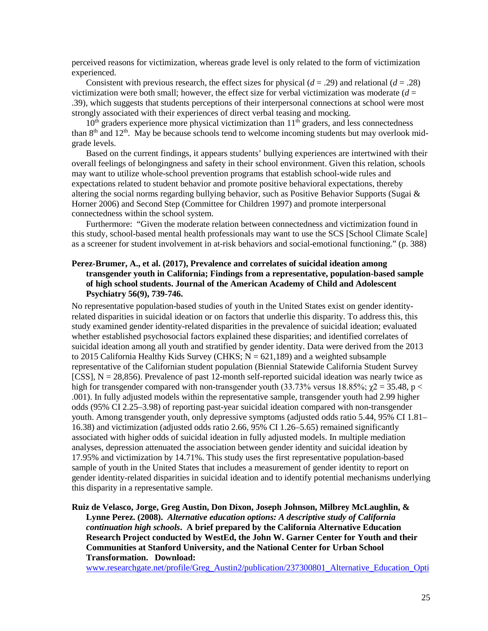perceived reasons for victimization, whereas grade level is only related to the form of victimization experienced.

Consistent with previous research, the effect sizes for physical  $(d = .29)$  and relational  $(d = .28)$ victimization were both small; however, the effect size for verbal victimization was moderate  $(d =$ .39), which suggests that students perceptions of their interpersonal connections at school were most strongly associated with their experiences of direct verbal teasing and mocking.

 $10<sup>th</sup>$  graders experience more physical victimization than  $11<sup>th</sup>$  graders, and less connectedness than  $8<sup>th</sup>$  and  $12<sup>th</sup>$ . May be because schools tend to welcome incoming students but may overlook midgrade levels.

Based on the current findings, it appears students' bullying experiences are intertwined with their overall feelings of belongingness and safety in their school environment. Given this relation, schools may want to utilize whole-school prevention programs that establish school-wide rules and expectations related to student behavior and promote positive behavioral expectations, thereby altering the social norms regarding bullying behavior, such as Positive Behavior Supports (Sugai & Horner 2006) and Second Step (Committee for Children 1997) and promote interpersonal connectedness within the school system.

Furthermore: "Given the moderate relation between connectedness and victimization found in this study, school-based mental health professionals may want to use the SCS [School Climate Scale] as a screener for student involvement in at-risk behaviors and social-emotional functioning." (p. 388)

#### **Perez-Brumer, A., et al. (2017), Prevalence and correlates of suicidal ideation among transgender youth in California; Findings from a representative, population-based sample of high school students. Journal of the American Academy of Child and Adolescent Psychiatry 56(9), 739-746.**

No representative population-based studies of youth in the United States exist on gender identityrelated disparities in suicidal ideation or on factors that underlie this disparity. To address this, this study examined gender identity-related disparities in the prevalence of suicidal ideation; evaluated whether established [psychosocial factors](https://www.sciencedirect.com/topics/medicine-and-dentistry/psychosocial-factor) explained these disparities; and identified correlates of suicidal ideation among all youth and stratified by gender identity. Data were derived from the 2013 to 2015 California Healthy Kids Survey (CHKS;  $N = 621,189$ ) and a weighted subsample representative of the Californian student population (Biennial Statewide California Student Survey [CSS],  $N = 28,856$ ). Prevalence of past 12-month self-reported suicidal ideation was nearly twice as high for [transgender](https://www.sciencedirect.com/topics/medicine-and-dentistry/transgender) compared with non-transgender youth (33.73% versus 18.85%;  $\gamma$ 2 = 35.48, p < .001). In fully adjusted models within the representative sample, transgender youth had 2.99 higher odds (95% CI 2.25–3.98) of reporting past-year suicidal ideation compared with non-transgender youth. Among transgender youth, only depressive symptoms (adjusted [odds ratio](https://www.sciencedirect.com/topics/medicine-and-dentistry/odds-ratio) 5.44, 95% CI 1.81– 16.38) and victimization (adjusted odds ratio 2.66, 95% CI 1.26–5.65) remained significantly associated with higher odds of suicidal ideation in fully adjusted models. In multiple mediation analyses, depression attenuated the association between gender identity and suicidal ideation by 17.95% and victimization by 14.71%. This study uses the first representative population-based sample of youth in the United States that includes a measurement of gender identity to report on gender identity-related disparities in suicidal ideation and to identify potential mechanisms underlying this disparity in a representative sample.

#### **Ruiz de Velasco, Jorge, Greg Austin, Don Dixon, Joseph Johnson, Milbrey McLaughlin, &**

**Lynne Perez. (2008).** *Alternative education options: A descriptive study of California continuation high schools***. A brief prepared by the California Alternative Education Research Project conducted by WestEd, the John W. Garner Center for Youth and their Communities at Stanford University, and the National Center for Urban School Transformation. Download:** 

www.researchgate.net/profile/Greg\_Austin2/publication/237300801\_Alternative\_Education\_Opti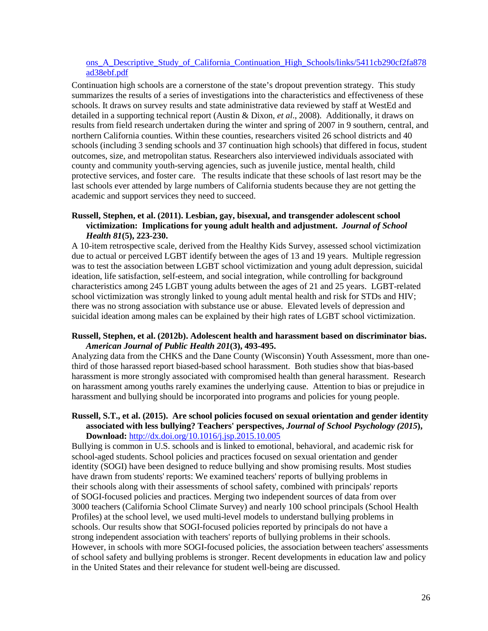#### ons\_A\_Descriptive\_Study\_of\_California\_Continuation\_High\_Schools/links/5411cb290cf2fa878 ad38ebf.pdf

Continuation high schools are a cornerstone of the state's dropout prevention strategy. This study summarizes the results of a series of investigations into the characteristics and effectiveness of these schools. It draws on survey results and state administrative data reviewed by staff at WestEd and detailed in a supporting technical report (Austin & Dixon, *et al*., 2008). Additionally, it draws on results from field research undertaken during the winter and spring of 2007 in 9 southern, central, and northern California counties. Within these counties, researchers visited 26 school districts and 40 schools (including 3 sending schools and 37 continuation high schools) that differed in focus, student outcomes, size, and metropolitan status. Researchers also interviewed individuals associated with county and community youth-serving agencies, such as juvenile justice, mental health, child protective services, and foster care. The results indicate that these schools of last resort may be the last schools ever attended by large numbers of California students because they are not getting the academic and support services they need to succeed.

#### **Russell, Stephen, et al. (2011). Lesbian, gay, bisexual, and transgender adolescent school victimization: Implications for young adult health and adjustment.** *Journal of School Health 81***(5), 223-230.**

A 10-item retrospective scale, derived from the Healthy Kids Survey, assessed school victimization due to actual or perceived LGBT identify between the ages of 13 and 19 years. Multiple regression was to test the association between LGBT school victimization and young adult depression, suicidal ideation, life satisfaction, self-esteem, and social integration, while controlling for background characteristics among 245 LGBT young adults between the ages of 21 and 25 years. LGBT-related school victimization was strongly linked to young adult mental health and risk for STDs and HIV; there was no strong association with substance use or abuse. Elevated levels of depression and suicidal ideation among males can be explained by their high rates of LGBT school victimization.

#### **Russell, Stephen, et al. (2012b). Adolescent health and harassment based on discriminator bias.**  *American Journal of Public Health 201***(3), 493-495.**

Analyzing data from the CHKS and the Dane County (Wisconsin) Youth Assessment, more than onethird of those harassed report biased-based school harassment. Both studies show that bias-based harassment is more strongly associated with compromised health than general harassment. Research on harassment among youths rarely examines the underlying cause. Attention to bias or prejudice in harassment and bullying should be incorporated into programs and policies for young people.

#### **Russell, S.T., et al. (2015). Are school policies focused on sexual orientation and gender identity associated with less bullying? Teachers' perspectives,** *Journal of School Psychology (2015***), Download:** <http://dx.doi.org/10.1016/j.jsp.2015.10.005>

Bullying is common in U.S. schools and is linked to emotional, behavioral, and academic risk for school-aged students. School policies and practices focused on sexual orientation and gender identity (SOGI) have been designed to reduce bullying and show promising results. Most studies have drawn from students' reports: We examined teachers' reports of bullying problems in their schools along with their assessments of school safety, combined with principals' reports of SOGI-focused policies and practices. Merging two independent sources of data from over 3000 teachers (California School Climate Survey) and nearly 100 school principals (School Health Profiles) at the school level, we used multi-level models to understand bullying problems in schools. Our results show that SOGI-focused policies reported by principals do not have a strong independent association with teachers' reports of bullying problems in their schools. However, in schools with more SOGI-focused policies, the association between teachers' assessments of school safety and bullying problems is stronger. Recent developments in education law and policy in the United States and their relevance for student well-being are discussed.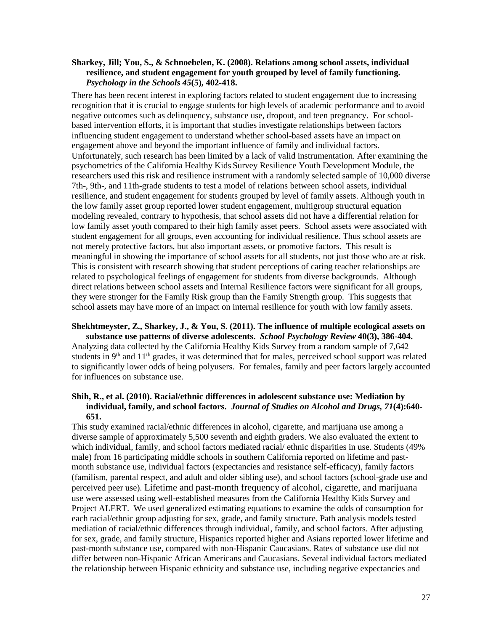#### **Sharkey, Jill; You, S., & Schnoebelen, K. (2008). Relations among school assets, individual resilience, and student engagement for youth grouped by level of family functioning.**  *Psychology in the Schools 45***(5), 402-418.**

There has been recent interest in exploring factors related to student engagement due to increasing recognition that it is crucial to engage students for high levels of academic performance and to avoid negative outcomes such as delinquency, substance use, dropout, and teen pregnancy. For schoolbased intervention efforts, it is important that studies investigate relationships between factors influencing student engagement to understand whether school-based assets have an impact on engagement above and beyond the important influence of family and individual factors. Unfortunately, such research has been limited by a lack of valid instrumentation. After examining the psychometrics of the California Healthy Kids Survey Resilience Youth Development Module, the researchers used this risk and resilience instrument with a randomly selected sample of 10,000 diverse 7th-, 9th-, and 11th-grade students to test a model of relations between school assets, individual resilience, and student engagement for students grouped by level of family assets. Although youth in the low family asset group reported lower student engagement, multigroup structural equation modeling revealed, contrary to hypothesis, that school assets did not have a differential relation for low family asset youth compared to their high family asset peers. School assets were associated with student engagement for all groups, even accounting for individual resilience. Thus school assets are not merely protective factors, but also important assets, or promotive factors. This result is meaningful in showing the importance of school assets for all students, not just those who are at risk. This is consistent with research showing that student perceptions of caring teacher relationships are related to psychological feelings of engagement for students from diverse backgrounds. Although direct relations between school assets and Internal Resilience factors were significant for all groups, they were stronger for the Family Risk group than the Family Strength group. This suggests that school assets may have more of an impact on internal resilience for youth with low family assets.

#### **Shekhtmeyster, Z., Sharkey, J., & You, S. (2011). The influence of multiple ecological assets on substance use patterns of diverse adolescents.** *School Psychology Review* **40(3), 386-404.**

Analyzing data collected by the California Healthy Kids Survey from a random sample of 7,642 students in 9<sup>th</sup> and 11<sup>th</sup> grades, it was determined that for males, perceived school support was related to significantly lower odds of being polyusers. For females, family and peer factors largely accounted for influences on substance use.

#### **Shih, R., et al. (2010). Racial/ethnic differences in adolescent substance use: Mediation by individual, family, and school factors.** *Journal of Studies on Alcohol and Drugs, 71***(4):640- 651.**

This study examined racial/ethnic differences in alcohol, cigarette, and marijuana use among a diverse sample of approximately 5,500 seventh and eighth graders. We also evaluated the extent to which individual, family, and school factors mediated racial/ ethnic disparities in use. Students (49% male) from 16 participating middle schools in southern California reported on lifetime and pastmonth substance use, individual factors (expectancies and resistance self-efficacy), family factors (familism, parental respect, and adult and older sibling use), and school factors (school-grade use and perceived peer use). Lifetime and past-month frequency of alcohol, cigarette, and marijuana use were assessed using well-established measures from the California Healthy Kids Survey and Project ALERT. We used generalized estimating equations to examine the odds of consumption for each racial/ethnic group adjusting for sex, grade, and family structure. Path analysis models tested mediation of racial/ethnic differences through individual, family, and school factors. After adjusting for sex, grade, and family structure, Hispanics reported higher and Asians reported lower lifetime and past-month substance use, compared with non-Hispanic Caucasians. Rates of substance use did not differ between non-Hispanic African Americans and Caucasians. Several individual factors mediated the relationship between Hispanic ethnicity and substance use, including negative expectancies and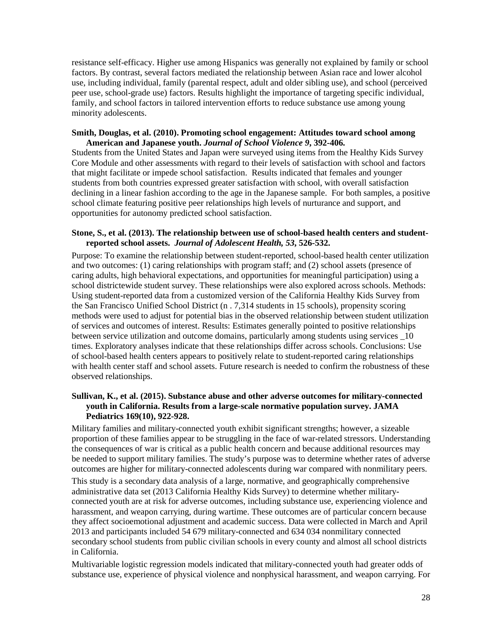resistance self-efficacy. Higher use among Hispanics was generally not explained by family or school factors. By contrast, several factors mediated the relationship between Asian race and lower alcohol use, including individual, family (parental respect, adult and older sibling use), and school (perceived peer use, school-grade use) factors. Results highlight the importance of targeting specific individual, family, and school factors in tailored intervention efforts to reduce substance use among young minority adolescents.

#### **Smith, Douglas, et al. (2010). Promoting school engagement: Attitudes toward school among American and Japanese youth.** *Journal of School Violence 9***, 392-406.**

Students from the United States and Japan were surveyed using items from the Healthy Kids Survey Core Module and other assessments with regard to their levels of satisfaction with school and factors that might facilitate or impede school satisfaction. Results indicated that females and younger students from both countries expressed greater satisfaction with school, with overall satisfaction declining in a linear fashion according to the age in the Japanese sample. For both samples, a positive school climate featuring positive peer relationships high levels of nurturance and support, and opportunities for autonomy predicted school satisfaction.

#### **Stone, S., et al. (2013). The relationship between use of school-based health centers and studentreported school assets.** *Journal of Adolescent Health, 53***, 526-532.**

Purpose: To examine the relationship between student-reported, school-based health center utilization and two outcomes: (1) caring relationships with program staff; and (2) school assets (presence of caring adults, high behavioral expectations, and opportunities for meaningful participation) using a school districtewide student survey. These relationships were also explored across schools. Methods: Using student-reported data from a customized version of the California Healthy Kids Survey from the San Francisco Unified School District (n . 7,314 students in 15 schools), propensity scoring methods were used to adjust for potential bias in the observed relationship between student utilization of services and outcomes of interest. Results: Estimates generally pointed to positive relationships between service utilization and outcome domains, particularly among students using services 10 times. Exploratory analyses indicate that these relationships differ across schools. Conclusions: Use of school-based health centers appears to positively relate to student-reported caring relationships with health center staff and school assets. Future research is needed to confirm the robustness of these observed relationships.

#### **Sullivan, K., et al. (2015). Substance abuse and other adverse outcomes for military-connected youth in California. Results from a large-scale normative population survey. JAMA Pediatrics 169(10), 922-928.**

Military families and military-connected youth exhibit significant strengths; however, a sizeable proportion of these families appear to be struggling in the face of war-related stressors. Understanding the consequences of war is critical as a public health concern and because additional resources may be needed to support military families. The study's purpose was to determine whether rates of adverse outcomes are higher for military-connected adolescents during war compared with nonmilitary peers.

This study is a secondary data analysis of a large, normative, and geographically comprehensive administrative data set (2013 California Healthy Kids Survey) to determine whether militaryconnected youth are at risk for adverse outcomes, including substance use, experiencing violence and harassment, and weapon carrying, during wartime. These outcomes are of particular concern because they affect socioemotional adjustment and academic success. Data were collected in March and April 2013 and participants included 54 679 military-connected and 634 034 nonmilitary connected secondary school students from public civilian schools in every county and almost all school districts in California.

Multivariable logistic regression models indicated that military-connected youth had greater odds of substance use, experience of physical violence and nonphysical harassment, and weapon carrying. For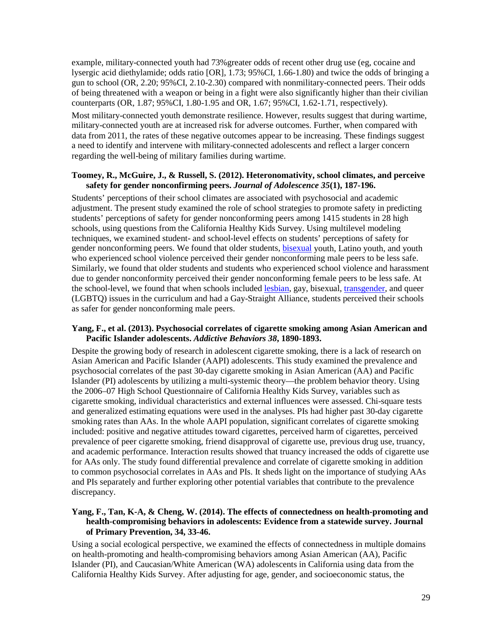example, military-connected youth had 73% greater odds of recent other drug use (eg, cocaine and lysergic acid diethylamide; odds ratio [OR], 1.73; 95%CI, 1.66-1.80) and twice the odds of bringing a gun to school (OR, 2.20; 95%CI, 2.10-2.30) compared with nonmilitary-connected peers. Their odds of being threatened with a weapon or being in a fight were also significantly higher than their civilian counterparts (OR, 1.87; 95%CI, 1.80-1.95 and OR, 1.67; 95%CI, 1.62-1.71, respectively).

Most military-connected youth demonstrate resilience. However, results suggest that during wartime, military-connected youth are at increased risk for adverse outcomes. Further, when compared with data from 2011, the rates of these negative outcomes appear to be increasing. These findings suggest a need to identify and intervene with military-connected adolescents and reflect a larger concern regarding the well-being of military families during wartime.

#### **Toomey, R., McGuire, J., & Russell, S. (2012). Heteronomativity, school climates, and perceive safety for gender nonconfirming peers.** *Journal of Adolescence 35***(1), 187-196.**

Students' perceptions of their school climates are associated with psychosocial and academic adjustment. The present study examined the role of school strategies to promote safety in predicting students' perceptions of safety for gender nonconforming peers among 1415 students in 28 high schools, using questions from the California Healthy Kids Survey. Using multilevel modeling techniques, we examined student- and school-level effects on students' perceptions of safety for gender nonconforming peers. We found that older students, [bisexual](https://www.sciencedirect.com/topics/medicine-and-dentistry/bisexual) youth, Latino youth, and youth who experienced school violence perceived their gender nonconforming male peers to be less safe. Similarly, we found that older students and students who experienced school violence and harassment due to gender nonconformity perceived their gender nonconforming female peers to be less safe. At the school-level, we found that when schools include[d lesbian,](https://www.sciencedirect.com/topics/medicine-and-dentistry/lesbian) gay, bisexual, [transgender,](https://www.sciencedirect.com/topics/medicine-and-dentistry/transgender) and queer (LGBTQ) issues in the curriculum and had a Gay-Straight Alliance, students perceived their schools as safer for gender nonconforming male peers.

#### **Yang, F., et al. (2013). Psychosocial correlates of cigarette smoking among Asian American and Pacific Islander adolescents.** *Addictive Behaviors 38***, 1890-1893.**

Despite the growing body of research in adolescent cigarette smoking, there is a lack of research on Asian American and Pacific Islander (AAPI) adolescents. This study examined the prevalence and psychosocial correlates of the past 30-day cigarette smoking in Asian American (AA) and Pacific Islander (PI) adolescents by utilizing a multi-systemic theory—the problem behavior theory. Using the 2006–07 High School Questionnaire of California Healthy Kids Survey, variables such as cigarette smoking, individual characteristics and external influences were assessed. Chi-square tests and generalized estimating equations were used in the analyses. PIs had higher past 30-day cigarette smoking rates than AAs. In the whole AAPI population, significant correlates of cigarette smoking included: positive and negative attitudes toward cigarettes, perceived harm of cigarettes, perceived prevalence of peer cigarette smoking, friend disapproval of cigarette use, previous drug use, truancy, and academic performance. Interaction results showed that truancy increased the odds of cigarette use for AAs only. The study found differential prevalence and correlate of cigarette smoking in addition to common psychosocial correlates in AAs and PIs. It sheds light on the importance of studying AAs and PIs separately and further exploring other potential variables that contribute to the prevalence discrepancy.

#### **Yang, F., Tan, K-A, & Cheng, W. (2014). The effects of connectedness on health-promoting and health-compromising behaviors in adolescents: Evidence from a statewide survey. Journal of Primary Prevention, 34, 33-46.**

Using a social ecological perspective, we examined the effects of connectedness in multiple domains on health-promoting and health-compromising behaviors among Asian American (AA), Pacific Islander (PI), and Caucasian/White American (WA) adolescents in California using data from the California Healthy Kids Survey. After adjusting for age, gender, and socioeconomic status, the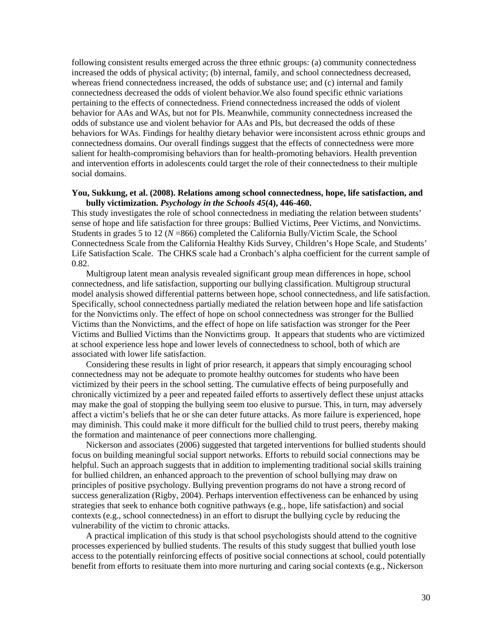following consistent results emerged across the three ethnic groups: (a) community connectedness increased the odds of physical activity; (b) internal, family, and school connectedness decreased, whereas friend connectedness increased, the odds of substance use; and (c) internal and family connectedness decreased the odds of violent behavior.We also found specific ethnic variations pertaining to the effects of connectedness. Friend connectedness increased the odds of violent behavior for AAs and WAs, but not for PIs. Meanwhile, community connectedness increased the odds of substance use and violent behavior for AAs and PIs, but decreased the odds of these behaviors for WAs. Findings for healthy dietary behavior were inconsistent across ethnic groups and connectedness domains. Our overall findings suggest that the effects of connectedness were more salient for health-compromising behaviors than for health-promoting behaviors. Health prevention and intervention efforts in adolescents could target the role of their connectedness to their multiple social domains.

#### **You, Sukkung, et al. (2008). Relations among school connectedness, hope, life satisfaction, and bully victimization.** *Psychology in the Schools 45***(4), 446-460.**

This study investigates the role of school connectedness in mediating the relation between students' sense of hope and life satisfaction for three groups: Bullied Victims, Peer Victims, and Nonvictims. Students in grades 5 to 12 (*N* = 866) completed the California Bully/Victim Scale, the School Connectedness Scale from the California Healthy Kids Survey, Children's Hope Scale, and Students' Life Satisfaction Scale. The CHKS scale had a Cronbach's alpha coefficient for the current sample of 0.82.

Multigroup latent mean analysis revealed significant group mean differences in hope, school connectedness, and life satisfaction, supporting our bullying classification. Multigroup structural model analysis showed differential patterns between hope, school connectedness, and life satisfaction. Specifically, school connectedness partially mediated the relation between hope and life satisfaction for the Nonvictims only. The effect of hope on school connectedness was stronger for the Bullied Victims than the Nonvictims, and the effect of hope on life satisfaction was stronger for the Peer Victims and Bullied Victims than the Nonvictims group. It appears that students who are victimized at school experience less hope and lower levels of connectedness to school, both of which are associated with lower life satisfaction.

Considering these results in light of prior research, it appears that simply encouraging school connectedness may not be adequate to promote healthy outcomes for students who have been victimized by their peers in the school setting. The cumulative effects of being purposefully and chronically victimized by a peer and repeated failed efforts to assertively deflect these unjust attacks may make the goal of stopping the bullying seem too elusive to pursue. This, in turn, may adversely affect a victim's beliefs that he or she can deter future attacks. As more failure is experienced, hope may diminish. This could make it more difficult for the bullied child to trust peers, thereby making the formation and maintenance of peer connections more challenging.

Nickerson and associates (2006) suggested that targeted interventions for bullied students should focus on building meaningful social support networks. Efforts to rebuild social connections may be helpful. Such an approach suggests that in addition to implementing traditional social skills training for bullied children, an enhanced approach to the prevention of school bullying may draw on principles of positive psychology. Bullying prevention programs do not have a strong record of success generalization (Rigby, 2004). Perhaps intervention effectiveness can be enhanced by using strategies that seek to enhance both cognitive pathways (e.g., hope, life satisfaction) and social contexts (e.g., school connectedness) in an effort to disrupt the bullying cycle by reducing the vulnerability of the victim to chronic attacks.

A practical implication of this study is that school psychologists should attend to the cognitive processes experienced by bullied students. The results of this study suggest that bullied youth lose access to the potentially reinforcing effects of positive social connections at school, could potentially benefit from efforts to resituate them into more nurturing and caring social contexts (e.g., Nickerson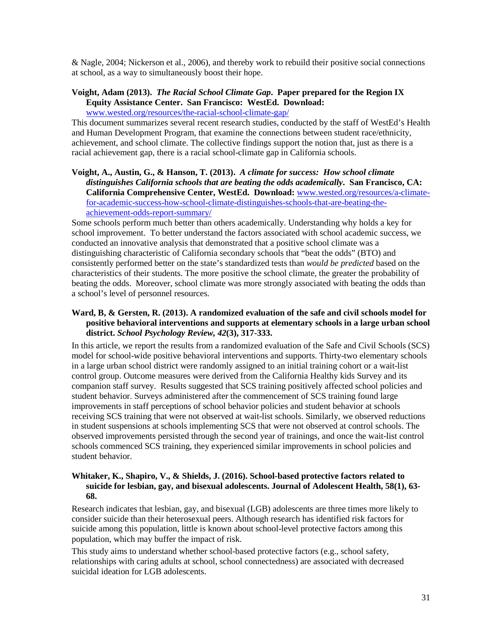& Nagle, 2004; Nickerson et al., 2006), and thereby work to rebuild their positive social connections at school, as a way to simultaneously boost their hope.

#### **Voight, Adam (2013).** *The Racial School Climate Gap***. Paper prepared for the Region IX Equity Assistance Center. San Francisco: WestEd. Download:**  www.wested.org/resources/the-racial-school-climate-gap/

This document summarizes several recent research studies, conducted by the staff of WestEd's Health and Human Development Program, that examine the connections between student race/ethnicity, achievement, and school climate. The collective findings support the notion that, just as there is a racial achievement gap, there is a racial school-climate gap in California schools.

#### **Voight, A., Austin, G., & Hanson, T. (2013).** *A climate for success: How school climate distinguishes California schools that are beating the odds academically***. San Francisco, CA: California Comprehensive Center, WestEd. Download:** www.wested.org/resources/a-climatefor-academic-success-how-school-climate-distinguishes-schools-that-are-beating-theachievement-odds-report-summary/

Some schools perform much better than others academically. Understanding why holds a key for school improvement. To better understand the factors associated with school academic success, we conducted an innovative analysis that demonstrated that a positive school climate was a distinguishing characteristic of California secondary schools that "beat the odds" (BTO) and consistently performed better on the state's standardized tests than *would be predicted* based on the characteristics of their students. The more positive the school climate, the greater the probability of beating the odds. Moreover, school climate was more strongly associated with beating the odds than a school's level of personnel resources.

#### **Ward, B, & Gersten, R. (2013). A randomized evaluation of the safe and civil schools model for positive behavioral interventions and supports at elementary schools in a large urban school district.** *School Psychology Review, 42***(3), 317-333.**

In this article, we report the results from a randomized evaluation of the Safe and Civil Schools (SCS) model for school-wide positive behavioral interventions and supports. Thirty-two elementary schools in a large urban school district were randomly assigned to an initial training cohort or a wait-list control group. Outcome measures were derived from the California Healthy kids Survey and its companion staff survey. Results suggested that SCS training positively affected school policies and student behavior. Surveys administered after the commencement of SCS training found large improvements in staff perceptions of school behavior policies and student behavior at schools receiving SCS training that were not observed at wait-list schools. Similarly, we observed reductions in student suspensions at schools implementing SCS that were not observed at control schools. The observed improvements persisted through the second year of trainings, and once the wait-list control schools commenced SCS training, they experienced similar improvements in school policies and student behavior.

#### **Whitaker, K., Shapiro, V., & Shields, J. (2016). School-based protective factors related to suicide for lesbian, gay, and bisexual adolescents. Journal of Adolescent Health, 58(1), 63- 68.**

Research indicates that lesbian, gay, and bisexual (LGB) adolescents are three times more likely to consider suicide than their heterosexual peers. Although research has identified risk factors for suicide among this population, little is known about school-level protective factors among this population, which may buffer the impact of risk.

This study aims to understand whether school-based protective factors (e.g., school safety, relationships with caring adults at school, school connectedness) are associated with decreased suicidal ideation for LGB adolescents.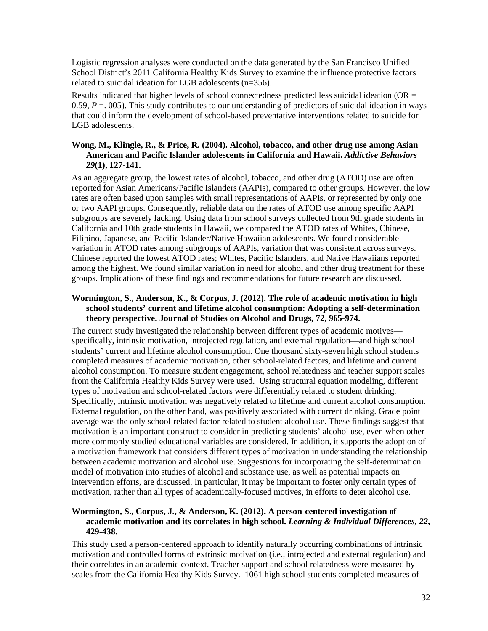Logistic regression analyses were conducted on the data generated by the San Francisco Unified School District's 2011 California Healthy Kids Survey to examine the influence protective factors related to suicidal ideation for LGB adolescents (n=356).

Results indicated that higher levels of school connectedness predicted less suicidal ideation (OR = 0.59,  $P = 0.005$ ). This study contributes to our understanding of predictors of suicidal ideation in ways that could inform the development of school-based preventative interventions related to suicide for LGB adolescents.

#### **Wong, M., Klingle, R., & Price, R. (2004). Alcohol, tobacco, and other drug use among Asian American and Pacific Islander adolescents in California and Hawaii.** *Addictive Behaviors 29***(1), 127-141.**

As an aggregate group, the lowest rates of alcohol, tobacco, and other drug (ATOD) use are often reported for Asian Americans/Pacific Islanders (AAPIs), compared to other groups. However, the low rates are often based upon samples with small representations of AAPIs, or represented by only one or two AAPI groups. Consequently, reliable data on the rates of ATOD use among specific AAPI subgroups are severely lacking. Using data from school surveys collected from 9th grade students in California and 10th grade students in Hawaii, we compared the ATOD rates of Whites, Chinese, Filipino, Japanese, and Pacific Islander/Native Hawaiian adolescents. We found considerable variation in ATOD rates among subgroups of AAPIs, variation that was consistent across surveys. Chinese reported the lowest ATOD rates; Whites, Pacific Islanders, and Native Hawaiians reported among the highest. We found similar variation in need for alcohol and other drug treatment for these groups. Implications of these findings and recommendations for future research are discussed.

#### **Wormington, S., Anderson, K., & Corpus, J. (2012). The role of academic motivation in high school students' current and lifetime alcohol consumption: Adopting a self-determination theory perspective. Journal of Studies on Alcohol and Drugs, 72, 965-974.**

The current study investigated the relationship between different types of academic motives specifically, intrinsic motivation, introjected regulation, and external regulation—and high school students' current and lifetime alcohol consumption. One thousand sixty-seven high school students completed measures of academic motivation, other school-related factors, and lifetime and current alcohol consumption. To measure student engagement, school relatedness and teacher support scales from the California Healthy Kids Survey were used. Using structural equation modeling, different types of motivation and school-related factors were differentially related to student drinking. Specifically, intrinsic motivation was negatively related to lifetime and current alcohol consumption. External regulation, on the other hand, was positively associated with current drinking. Grade point average was the only school-related factor related to student alcohol use. These findings suggest that motivation is an important construct to consider in predicting students' alcohol use, even when other more commonly studied educational variables are considered. In addition, it supports the adoption of a motivation framework that considers different types of motivation in understanding the relationship between academic motivation and alcohol use. Suggestions for incorporating the self-determination model of motivation into studies of alcohol and substance use, as well as potential impacts on intervention efforts, are discussed. In particular, it may be important to foster only certain types of motivation, rather than all types of academically-focused motives, in efforts to deter alcohol use.

#### **Wormington, S., Corpus, J., & Anderson, K. (2012). A person-centered investigation of academic motivation and its correlates in high school.** *Learning & Individual Differences, 22***, 429-438.**

This study used a person-centered approach to identify naturally occurring combinations of intrinsic motivation and controlled forms of extrinsic motivation (i.e., introjected and external regulation) and their correlates in an academic context. Teacher support and school relatedness were measured by scales from the California Healthy Kids Survey. 1061 high school students completed measures of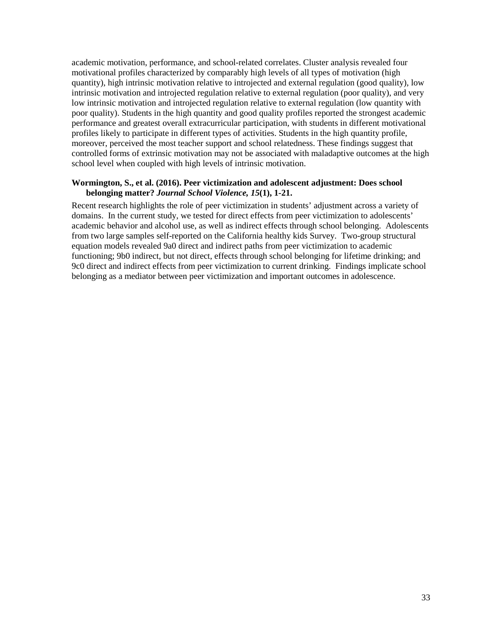academic motivation, performance, and school-related correlates. Cluster analysis revealed four motivational profiles characterized by comparably high levels of all types of motivation (high quantity), high intrinsic motivation relative to introjected and external regulation (good quality), low intrinsic motivation and introjected regulation relative to external regulation (poor quality), and very low intrinsic motivation and introjected regulation relative to external regulation (low quantity with poor quality). Students in the high quantity and good quality profiles reported the strongest academic performance and greatest overall extracurricular participation, with students in different motivational profiles likely to participate in different types of activities. Students in the high quantity profile, moreover, perceived the most teacher support and school relatedness. These findings suggest that controlled forms of extrinsic motivation may not be associated with maladaptive outcomes at the high school level when coupled with high levels of intrinsic motivation.

#### **Wormington, S., et al. (2016). Peer victimization and adolescent adjustment: Does school belonging matter?** *Journal School Violence, 15***(1), 1-21.**

Recent research highlights the role of peer victimization in students' adjustment across a variety of domains. In the current study, we tested for direct effects from peer victimization to adolescents' academic behavior and alcohol use, as well as indirect effects through school belonging. Adolescents from two large samples self-reported on the California healthy kids Survey. Two-group structural equation models revealed 9a0 direct and indirect paths from peer victimization to academic functioning; 9b0 indirect, but not direct, effects through school belonging for lifetime drinking; and 9c0 direct and indirect effects from peer victimization to current drinking. Findings implicate school belonging as a mediator between peer victimization and important outcomes in adolescence.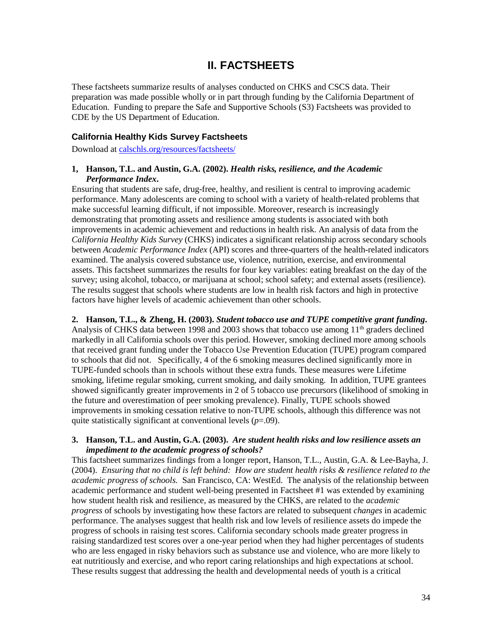# **II. FACTSHEETS**

These factsheets summarize results of analyses conducted on CHKS and CSCS data. Their preparation was made possible wholly or in part through funding by the California Department of Education. Funding to prepare the Safe and Supportive Schools (S3) Factsheets was provided to CDE by the US Department of Education.

#### **California Healthy Kids Survey Factsheets**

Download at [calschls.org/resources/factsheets/](https://calschls.org/resources/factsheets/)

#### **1, Hanson, T.L. and Austin, G.A. (2002).** *Health risks, resilience, and the Academic Performance Index***.**

Ensuring that students are safe, drug-free, healthy, and resilient is central to improving academic performance. Many adolescents are coming to school with a variety of health-related problems that make successful learning difficult, if not impossible. Moreover, research is increasingly demonstrating that promoting assets and resilience among students is associated with both improvements in academic achievement and reductions in health risk. An analysis of data from the *California Healthy Kids Survey* (CHKS) indicates a significant relationship across secondary schools between *Academic Performance Index* (API) scores and three-quarters of the health-related indicators examined. The analysis covered substance use, violence, nutrition, exercise, and environmental assets. This factsheet summarizes the results for four key variables: eating breakfast on the day of the survey; using alcohol, tobacco, or marijuana at school; school safety; and external assets (resilience). The results suggest that schools where students are low in health risk factors and high in protective factors have higher levels of academic achievement than other schools.

**2. Hanson, T.L., & Zheng, H. (2003).** *Student tobacco use and TUPE competitive grant funding***.**  Analysis of CHKS data between 1998 and 2003 shows that tobacco use among  $11<sup>th</sup>$  graders declined markedly in all California schools over this period. However, smoking declined more among schools that received grant funding under the Tobacco Use Prevention Education (TUPE) program compared to schools that did not. Specifically, 4 of the 6 smoking measures declined significantly more in TUPE-funded schools than in schools without these extra funds. These measures were Lifetime smoking, lifetime regular smoking, current smoking, and daily smoking. In addition, TUPE grantees showed significantly greater improvements in 2 of 5 tobacco use precursors (likelihood of smoking in the future and overestimation of peer smoking prevalence). Finally, TUPE schools showed improvements in smoking cessation relative to non-TUPE schools, although this difference was not quite statistically significant at conventional levels (*p*=.09).

#### **3. Hanson, T.L. and Austin, G.A. (2003).** *Are student health risks and low resilience assets an impediment to the academic progress of schools?*

This factsheet summarizes findings from a longer report, Hanson, T.L., Austin, G.A. & Lee-Bayha, J. (2004). *Ensuring that no child is left behind: How are student health risks & resilience related to the academic progress of schools.* San Francisco, CA: WestEd.The analysis of the relationship between academic performance and student well-being presented in Factsheet #1 was extended by examining how student health risk and resilience, as measured by the CHKS, are related to the *academic progress* of schools by investigating how these factors are related to subsequent *changes* in academic performance. The analyses suggest that health risk and low levels of resilience assets do impede the progress of schools in raising test scores. California secondary schools made greater progress in raising standardized test scores over a one-year period when they had higher percentages of students who are less engaged in risky behaviors such as substance use and violence, who are more likely to eat nutritiously and exercise, and who report caring relationships and high expectations at school. These results suggest that addressing the health and developmental needs of youth is a critical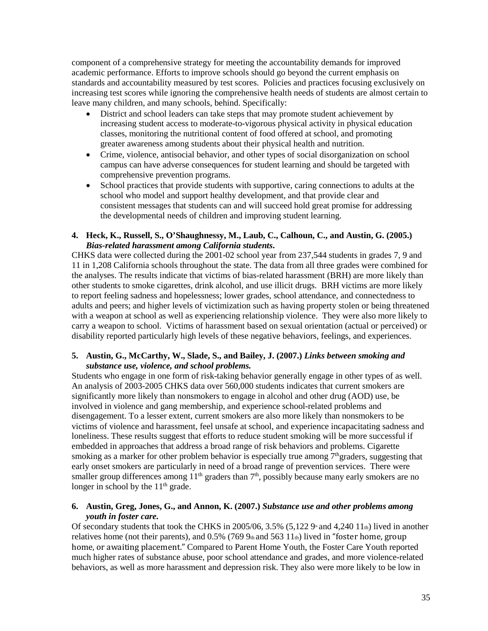component of a comprehensive strategy for meeting the accountability demands for improved academic performance. Efforts to improve schools should go beyond the current emphasis on standards and accountability measured by test scores. Policies and practices focusing exclusively on increasing test scores while ignoring the comprehensive health needs of students are almost certain to leave many children, and many schools, behind. Specifically:

- District and school leaders can take steps that may promote student achievement by increasing student access to moderate-to-vigorous physical activity in physical education classes, monitoring the nutritional content of food offered at school, and promoting greater awareness among students about their physical health and nutrition.
- Crime, violence, antisocial behavior, and other types of social disorganization on school campus can have adverse consequences for student learning and should be targeted with comprehensive prevention programs.
- School practices that provide students with supportive, caring connections to adults at the school who model and support healthy development, and that provide clear and consistent messages that students can and will succeed hold great promise for addressing the developmental needs of children and improving student learning.

#### **4. Heck, K., Russell, S., O'Shaughnessy, M., Laub, C., Calhoun, C., and Austin, G. (2005.)**  *Bias-related harassment among California students***.**

CHKS data were collected during the 2001-02 school year from 237,544 students in grades 7, 9 and 11 in 1,208 California schools throughout the state. The data from all three grades were combined for the analyses. The results indicate that victims of bias-related harassment (BRH) are more likely than other students to smoke cigarettes, drink alcohol, and use illicit drugs. BRH victims are more likely to report feeling sadness and hopelessness; lower grades, school attendance, and connectedness to adults and peers; and higher levels of victimization such as having property stolen or being threatened with a weapon at school as well as experiencing relationship violence. They were also more likely to carry a weapon to school. Victims of harassment based on sexual orientation (actual or perceived) or disability reported particularly high levels of these negative behaviors, feelings, and experiences.

#### **5. Austin, G., McCarthy, W., Slade, S., and Bailey, J. (2007.)** *Links between smoking and substance use, violence, and school problems.*

Students who engage in one form of risk-taking behavior generally engage in other types of as well. An analysis of 2003-2005 CHKS data over 560,000 students indicates that current smokers are significantly more likely than nonsmokers to engage in alcohol and other drug (AOD) use, be involved in violence and gang membership, and experience school-related problems and disengagement. To a lesser extent, current smokers are also more likely than nonsmokers to be victims of violence and harassment, feel unsafe at school, and experience incapacitating sadness and loneliness. These results suggest that efforts to reduce student smoking will be more successful if embedded in approaches that address a broad range of risk behaviors and problems. Cigarette smoking as a marker for other problem behavior is especially true among  $7<sup>th</sup>$  graders, suggesting that early onset smokers are particularly in need of a broad range of prevention services. There were smaller group differences among  $11<sup>th</sup>$  graders than  $7<sup>th</sup>$ , possibly because many early smokers are no longer in school by the  $11<sup>th</sup>$  grade.

#### **6. Austin, Greg, Jones, G., and Annon, K. (2007.)** *Substance use and other problems among youth in foster care.*

Of secondary students that took the CHKS in 2005/06, 3.5% (5,122  $9<sup>th</sup>$  and 4,240 11<sup>th</sup>) lived in another relatives home (not their parents), and  $0.5\%$  (769  $9<sub>th</sub>$  and 563 11<sup>th</sup>) lived in "foster home, group home, or awaiting placement." Compared to Parent Home Youth, the Foster Care Youth reported much higher rates of substance abuse, poor school attendance and grades, and more violence-related behaviors, as well as more harassment and depression risk. They also were more likely to be low in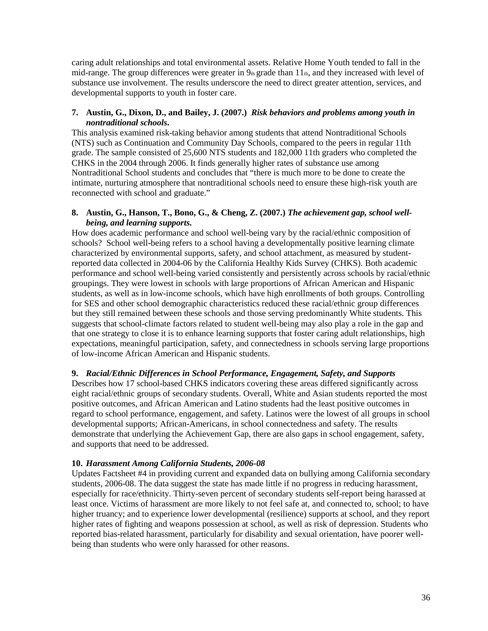caring adult relationships and total environmental assets. Relative Home Youth tended to fall in the mid-range. The group differences were greater in  $9<sub>th</sub>$  grade than 11t<sub>h</sub>, and they increased with level of substance use involvement. The results underscore the need to direct greater attention, services, and developmental supports to youth in foster care.

#### **7. Austin, G., Dixon, D., and Bailey, J. (2007.)** *Risk behaviors and problems among youth in nontraditional schools***.**

This analysis examined risk-taking behavior among students that attend Nontraditional Schools (NTS) such as Continuation and Community Day Schools, compared to the peers in regular 11th grade. The sample consisted of 25,600 NTS students and 182,000 11th graders who completed the CHKS in the 2004 through 2006. It finds generally higher rates of substance use among Nontraditional School students and concludes that "there is much more to be done to create the intimate, nurturing atmosphere that nontraditional schools need to ensure these high-risk youth are reconnected with school and graduate."

#### **8. Austin, G., Hanson, T., Bono, G., & Cheng, Z. (2007.)** *The achievement gap, school wellbeing, and learning supports.*

How does academic performance and school well-being vary by the racial/ethnic composition of schools? School well-being refers to a school having a developmentally positive learning climate characterized by environmental supports, safety, and school attachment, as measured by studentreported data collected in 2004-06 by the California Healthy Kids Survey (CHKS). Both academic performance and school well-being varied consistently and persistently across schools by racial/ethnic groupings. They were lowest in schools with large proportions of African American and Hispanic students, as well as in low-income schools, which have high enrollments of both groups. Controlling for SES and other school demographic characteristics reduced these racial/ethnic group differences but they still remained between these schools and those serving predominantly White students. This suggests that school-climate factors related to student well-being may also play a role in the gap and that one strategy to close it is to enhance learning supports that foster caring adult relationships, high expectations, meaningful participation, safety, and connectedness in schools serving large proportions of low-income African American and Hispanic students.

#### **9.** *Racial/Ethnic Differences in School Performance, Engagement, Safety, and Supports*

Describes how 17 school-based CHKS indicators covering these areas differed significantly across eight racial/ethnic groups of secondary students. Overall, White and Asian students reported the most positive outcomes, and African American and Latino students had the least positive outcomes in regard to school performance, engagement, and safety. Latinos were the lowest of all groups in school developmental supports; African-Americans, in school connectedness and safety. The results demonstrate that underlying the Achievement Gap, there are also gaps in school engagement, safety, and supports that need to be addressed.

#### **10.** *Harassment Among California Students, 2006-08*

Updates Factsheet #4 in providing current and expanded data on bullying among California secondary students, 2006-08. The data suggest the state has made little if no progress in reducing harassment, especially for race/ethnicity. Thirty-seven percent of secondary students self-report being harassed at least once. Victims of harassment are more likely to not feel safe at, and connected to, school; to have higher truancy; and to experience lower developmental (resilience) supports at school, and they report higher rates of fighting and weapons possession at school, as well as risk of depression. Students who reported bias-related harassment, particularly for disability and sexual orientation, have poorer wellbeing than students who were only harassed for other reasons.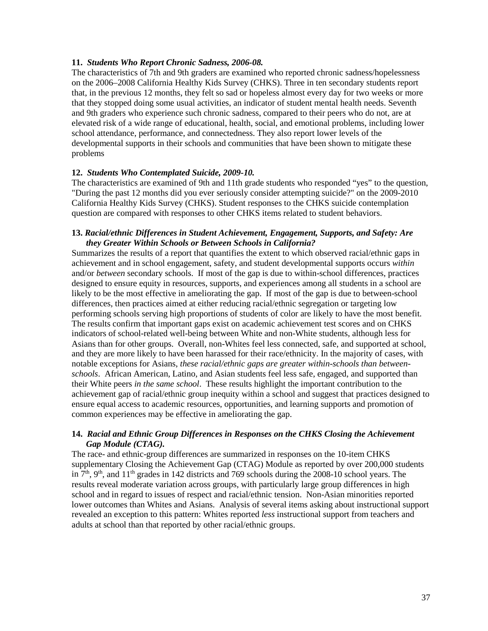#### **11.** *Students Who Report Chronic Sadness, 2006-08.*

The characteristics of 7th and 9th graders are examined who reported chronic sadness/hopelessness on the 2006–2008 California Healthy Kids Survey (CHKS). Three in ten secondary students report that, in the previous 12 months, they felt so sad or hopeless almost every day for two weeks or more that they stopped doing some usual activities, an indicator of student mental health needs. Seventh and 9th graders who experience such chronic sadness, compared to their peers who do not, are at elevated risk of a wide range of educational, health, social, and emotional problems, including lower school attendance, performance, and connectedness. They also report lower levels of the developmental supports in their schools and communities that have been shown to mitigate these problems

#### **12.** *Students Who Contemplated Suicide, 2009-10.*

The characteristics are examined of 9th and 11th grade students who responded "yes" to the question, "During the past 12 months did you ever seriously consider attempting suicide?" on the 2009-2010 California Healthy Kids Survey (CHKS). Student responses to the CHKS suicide contemplation question are compared with responses to other CHKS items related to student behaviors.

#### **13.** *Racial/ethnic Differences in Student Achievement, Engagement, Supports, and Safety: Are they Greater Within Schools or Between Schools in California?*

Summarizes the results of a report that quantifies the extent to which observed racial/ethnic gaps in achievement and in school engagement, safety, and student developmental supports occurs *within* and/or *between* secondary schools. If most of the gap is due to within-school differences, practices designed to ensure equity in resources, supports, and experiences among all students in a school are likely to be the most effective in ameliorating the gap. If most of the gap is due to between-school differences, then practices aimed at either reducing racial/ethnic segregation or targeting low performing schools serving high proportions of students of color are likely to have the most benefit. The results confirm that important gaps exist on academic achievement test scores and on CHKS indicators of school-related well-being between White and non-White students, although less for Asians than for other groups. Overall, non-Whites feel less connected, safe, and supported at school, and they are more likely to have been harassed for their race/ethnicity. In the majority of cases, with notable exceptions for Asians, *these racial/ethnic gaps are greater within-schools than betweenschools*. African American, Latino, and Asian students feel less safe, engaged, and supported than their White peers *in the same school*. These results highlight the important contribution to the achievement gap of racial/ethnic group inequity within a school and suggest that practices designed to ensure equal access to academic resources, opportunities, and learning supports and promotion of common experiences may be effective in ameliorating the gap.

#### **14.** *Racial and Ethnic Group Differences in Responses on the CHKS Closing the Achievement Gap Module (CTAG).*

The race- and ethnic-group differences are summarized in responses on the 10-item CHKS supplementary Closing the Achievement Gap (CTAG) Module as reported by over 200,000 students in  $7<sup>th</sup>$ , 9<sup>th</sup>, and 11<sup>th</sup> grades in 142 districts and 769 schools during the 2008-10 school years. The results reveal moderate variation across groups, with particularly large group differences in high school and in regard to issues of respect and racial/ethnic tension. Non-Asian minorities reported lower outcomes than Whites and Asians. Analysis of several items asking about instructional support revealed an exception to this pattern: Whites reported *less* instructional support from teachers and adults at school than that reported by other racial/ethnic groups.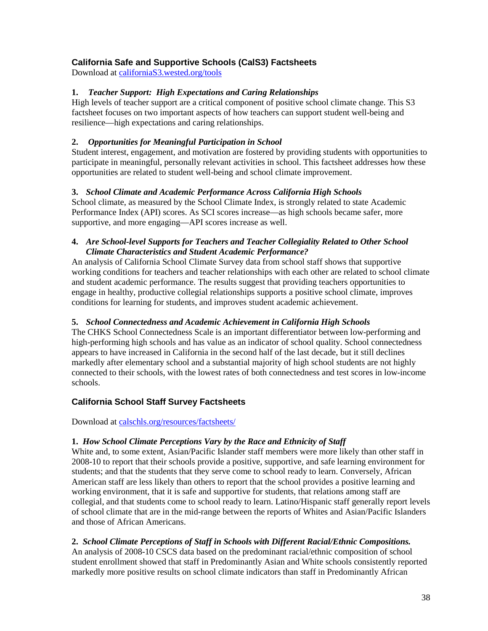# **California Safe and Supportive Schools (CalS3) Factsheets**

Download at [californiaS3.wested.org/tools](http://californias3.wested.org/tools)

# **1.** *Teacher Support: High Expectations and Caring Relationships*

High levels of teacher support are a critical component of positive school climate change. This S3 factsheet focuses on two important aspects of how teachers can support student well-being and resilience—high expectations and caring relationships.

# **2.** *Opportunities for Meaningful Participation in School*

Student interest, engagement, and motivation are fostered by providing students with opportunities to participate in meaningful, personally relevant activities in school. This factsheet addresses how these opportunities are related to student well-being and school climate improvement.

#### **3.** *School Climate and Academic Performance Across California High Schools*

School climate, as measured by the School Climate Index, is strongly related to state Academic Performance Index (API) scores. As SCI scores increase—as high schools became safer, more supportive, and more engaging—API scores increase as well.

#### **4.** *Are School-level Supports for Teachers and Teacher Collegiality Related to Other School Climate Characteristics and Student Academic Performance?*

An analysis of California School Climate Survey data from school staff shows that supportive working conditions for teachers and teacher relationships with each other are related to school climate and student academic performance. The results suggest that providing teachers opportunities to engage in healthy, productive collegial relationships supports a positive school climate, improves conditions for learning for students, and improves student academic achievement.

# **5.** *School Connectedness and Academic Achievement in California High Schools*

The CHKS School Connectedness Scale is an important differentiator between low-performing and high-performing high schools and has value as an indicator of school quality. School connectedness appears to have increased in California in the second half of the last decade, but it still declines markedly after elementary school and a substantial majority of high school students are not highly connected to their schools, with the lowest rates of both connectedness and test scores in low-income schools.

# **California School Staff Survey Factsheets**

Download at [calschls.org/resources/factsheets/](https://calschls.org/resources/factsheets/)

#### **1.** *How School Climate Perceptions Vary by the Race and Ethnicity of Staff*

White and, to some extent, Asian/Pacific Islander staff members were more likely than other staff in 2008-10 to report that their schools provide a positive, supportive, and safe learning environment for students; and that the students that they serve come to school ready to learn. Conversely, African American staff are less likely than others to report that the school provides a positive learning and working environment, that it is safe and supportive for students, that relations among staff are collegial, and that students come to school ready to learn. Latino/Hispanic staff generally report levels of school climate that are in the mid-range between the reports of Whites and Asian/Pacific Islanders and those of African Americans.

# **2.** *School Climate Perceptions of Staff in Schools with Different Racial/Ethnic Compositions.*

An analysis of 2008-10 CSCS data based on the predominant racial/ethnic composition of school student enrollment showed that staff in Predominantly Asian and White schools consistently reported markedly more positive results on school climate indicators than staff in Predominantly African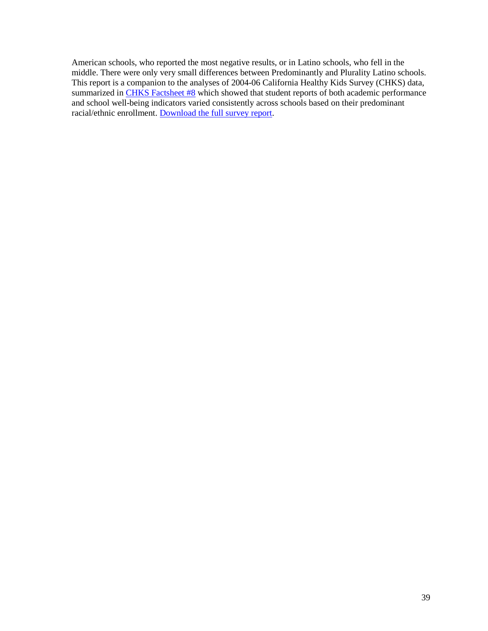American schools, who reported the most negative results, or in Latino schools, who fell in the middle. There were only very small differences between Predominantly and Plurality Latino schools. This report is a companion to the analyses of 2004-06 California Healthy Kids Survey (CHKS) data, summarized in [CHKS Factsheet #8](http://cscs.wested.org/resources/factsheet_8.pdf) which showed that student reports of both academic performance and school well-being indicators varied consistently across schools based on their predominant racial/ethnic enrollment. [Download the full survey report.](http://cscs.wested.org/resources/CSCS_Plurality_of_Students.pdf)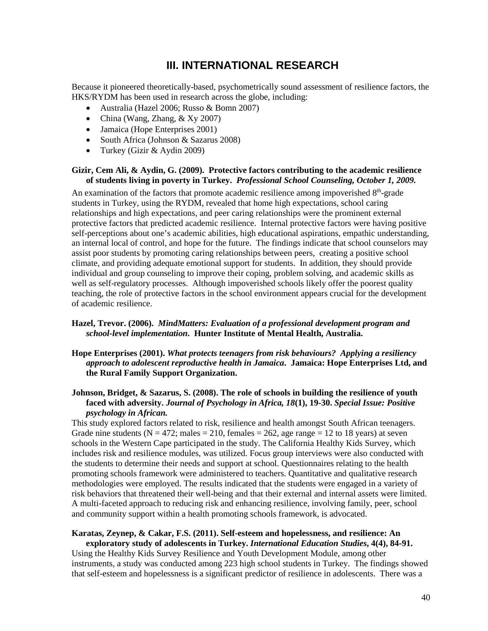# **III. INTERNATIONAL RESEARCH**

Because it pioneered theoretically-based, psychometrically sound assessment of resilience factors, the HKS/RYDM has been used in research across the globe, including:

- Australia (Hazel 2006; Russo & Bomn 2007)
- China (Wang, Zhang, & Xy 2007)
- Jamaica (Hope Enterprises 2001)
- South Africa (Johnson & Sazarus 2008)
- Turkey (Gizir & Aydin 2009)

#### **Gizir, Cem Ali, & Aydin, G. (2009). Protective factors contributing to the academic resilience of students living in poverty in Turkey.** *Professional School Counseling, October 1, 2009.*

An examination of the factors that promote academic resilience among impoverished  $8<sup>th</sup>$ -grade students in Turkey, using the RYDM, revealed that home high expectations, school caring relationships and high expectations, and peer caring relationships were the prominent external protective factors that predicted academic resilience. Internal protective factors were having positive self-perceptions about one's academic abilities, high educational aspirations, empathic understanding, an internal local of control, and hope for the future. The findings indicate that school counselors may assist poor students by promoting caring relationships between peers, creating a positive school climate, and providing adequate emotional support for students. In addition, they should provide individual and group counseling to improve their coping, problem solving, and academic skills as well as self-regulatory processes. Although impoverished schools likely offer the poorest quality teaching, the role of protective factors in the school environment appears crucial for the development of academic resilience.

#### **Hazel, Trevor. (2006).** *MindMatters: Evaluation of a professional development program and school-level implementation***. Hunter Institute of Mental Health, Australia.**

**Hope Enterprises (2001).** *What protects teenagers from risk behaviours? Applying a resiliency approach to adolescent reproductive health in Jamaica***. Jamaica: Hope Enterprises Ltd, and the Rural Family Support Organization.** 

#### **Johnson, Bridget, & Sazarus, S. (2008). The role of schools in building the resilience of youth faced with adversity.** *Journal of Psychology in Africa, 18***(1), 19-30.** *Special Issue: Positive psychology in African.*

This study explored factors related to risk, resilience and health amongst South African teenagers. Grade nine students ( $N = 472$ ; males  $= 210$ , females  $= 262$ , age range  $= 12$  to 18 years) at seven schools in the Western Cape participated in the study. The California Healthy Kids Survey, which includes risk and resilience modules, was utilized. Focus group interviews were also conducted with the students to determine their needs and support at school. Questionnaires relating to the health promoting schools framework were administered to teachers. Quantitative and qualitative research methodologies were employed. The results indicated that the students were engaged in a variety of risk behaviors that threatened their well-being and that their external and internal assets were limited. A multi-faceted approach to reducing risk and enhancing resilience, involving family, peer, school and community support within a health promoting schools framework, is advocated.

#### **Karatas, Zeynep, & Cakar, F.S. (2011). Self-esteem and hopelessness, and resilience: An exploratory study of adolescents in Turkey.** *International Education Studies***, 4(4), 84-91.**

Using the Healthy Kids Survey Resilience and Youth Development Module, among other instruments, a study was conducted among 223 high school students in Turkey. The findings showed that self-esteem and hopelessness is a significant predictor of resilience in adolescents. There was a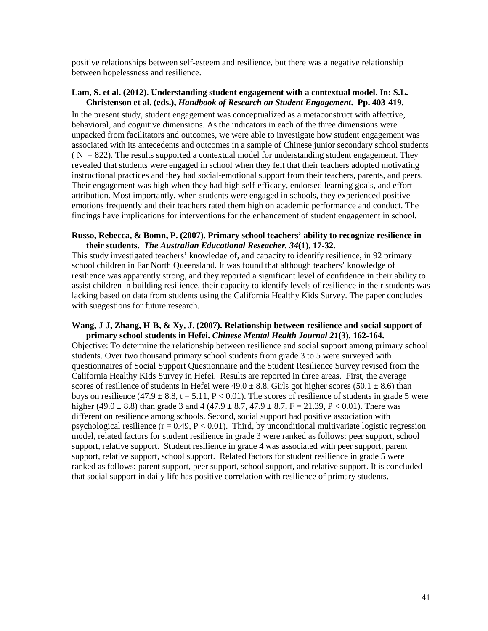positive relationships between self-esteem and resilience, but there was a negative relationship between hopelessness and resilience.

#### **Lam, S. et al. (2012). Understanding student engagement with a contextual model. In: S.L. Christenson et al. (eds.),** *Handbook of Research on Student Engagement***. Pp. 403-419.**

In the present study, student engagement was conceptualized as a metaconstruct with affective, behavioral, and cognitive dimensions. As the indicators in each of the three dimensions were unpacked from facilitators and outcomes, we were able to investigate how student engagement was associated with its antecedents and outcomes in a sample of Chinese junior secondary school students  $(N = 822)$ . The results supported a contextual model for understanding student engagement. They revealed that students were engaged in school when they felt that their teachers adopted motivating instructional practices and they had social-emotional support from their teachers, parents, and peers. Their engagement was high when they had high self-efficacy, endorsed learning goals, and effort attribution. Most importantly, when students were engaged in schools, they experienced positive emotions frequently and their teachers rated them high on academic performance and conduct. The findings have implications for interventions for the enhancement of student engagement in school.

#### **Russo, Rebecca, & Bomn, P. (2007). Primary school teachers' ability to recognize resilience in their students.** *The Australian Educational Reseacher, 34***(1), 17-32.**

This study investigated teachers' knowledge of, and capacity to identify resilience, in 92 primary school children in Far North Queensland. It was found that although teachers' knowledge of resilience was apparently strong, and they reported a significant level of confidence in their ability to assist children in building resilience, their capacity to identify levels of resilience in their students was lacking based on data from students using the California Healthy Kids Survey. The paper concludes with suggestions for future research.

#### **Wang, J-J, Zhang, H-B, & Xy, J. (2007). Relationship between resilience and social support of primary school students in Hefei.** *Chinese Mental Health Journal 21***(3), 162-164.**

Objective: To determine the relationship between resilience and social support among primary school students. Over two thousand primary school students from grade 3 to 5 were surveyed with questionnaires of Social Support Questionnaire and the Student Resilience Survey revised from the California Healthy Kids Survey in Hefei. Results are reported in three areas. First, the average scores of resilience of students in Hefei were  $49.0 \pm 8.8$ , Girls got higher scores (50.1  $\pm$  8.6) than boys on resilience  $(47.9 \pm 8.8, t = 5.11, P < 0.01)$ . The scores of resilience of students in grade 5 were higher (49.0  $\pm$  8.8) than grade 3 and 4 (47.9  $\pm$  8.7, 47.9  $\pm$  8.7, F = 21.39, P < 0.01). There was different on resilience among schools. Second, social support had positive association with psychological resilience  $(r = 0.49, P < 0.01)$ . Third, by unconditional multivariate logistic regression model, related factors for student resilience in grade 3 were ranked as follows: peer support, school support, relative support. Student resilience in grade 4 was associated with peer support, parent support, relative support, school support. Related factors for student resilience in grade 5 were ranked as follows: parent support, peer support, school support, and relative support. It is concluded that social support in daily life has positive correlation with resilience of primary students.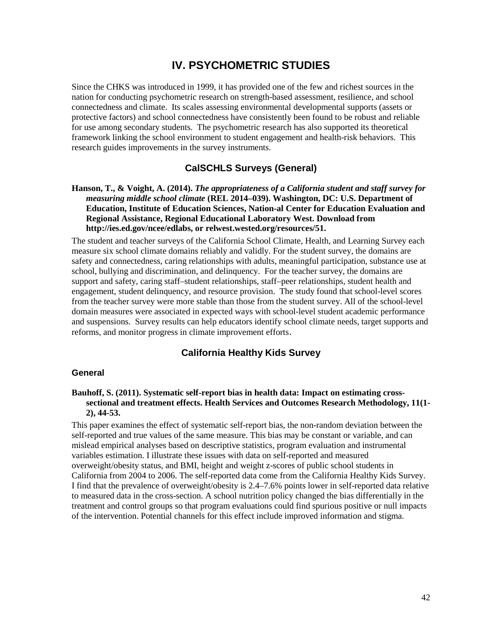# **IV. PSYCHOMETRIC STUDIES**

Since the CHKS was introduced in 1999, it has provided one of the few and richest sources in the nation for conducting psychometric research on strength-based assessment, resilience, and school connectedness and climate. Its scales assessing environmental developmental supports (assets or protective factors) and school connectedness have consistently been found to be robust and reliable for use among secondary students. The psychometric research has also supported its theoretical framework linking the school environment to student engagement and health-risk behaviors. This research guides improvements in the survey instruments.

#### **CalSCHLS Surveys (General)**

#### **Hanson, T., & Voight, A. (2014).** *The appropriateness of a California student and staff survey for measuring middle school climate* **(REL 2014–039). Washington, DC: U.S. Department of Education, Institute of Education Sciences, Nation-al Center for Education Evaluation and Regional Assistance, Regional Educational Laboratory West. Download from http://ies.ed.gov/ncee/edlabs, or relwest.wested.org/resources/51.**

The student and teacher surveys of the California School Climate, Health, and Learning Survey each measure six school climate domains reliably and validly. For the student survey, the domains are safety and connectedness, caring relationships with adults, meaningful participation, substance use at school, bullying and discrimination, and delinquency. For the teacher survey, the domains are support and safety, caring staff–student relationships, staff–peer relationships, student health and engagement, student delinquency, and resource provision. The study found that school-level scores from the teacher survey were more stable than those from the student survey. All of the school-level domain measures were associated in expected ways with school-level student academic performance and suspensions. Survey results can help educators identify school climate needs, target supports and reforms, and monitor progress in climate improvement efforts.

# **California Healthy Kids Survey**

#### **General**

#### **Bauhoff, S. (2011). Systematic self-report bias in health data: Impact on estimating crosssectional and treatment effects. Health Services and Outcomes Research Methodology, 11(1- 2), 44-53.**

This paper examines the effect of systematic self-report bias, the non-random deviation between the self-reported and true values of the same measure. This bias may be constant or variable, and can mislead empirical analyses based on descriptive statistics, program evaluation and instrumental variables estimation. I illustrate these issues with data on self-reported and measured overweight/obesity status, and BMI, height and weight z-scores of public school students in California from 2004 to 2006. The self-reported data come from the California Healthy Kids Survey. I find that the prevalence of overweight/obesity is 2.4–7.6% points lower in self-reported data relative to measured data in the cross-section. A school nutrition policy changed the bias differentially in the treatment and control groups so that program evaluations could find spurious positive or null impacts of the intervention. Potential channels for this effect include improved information and stigma.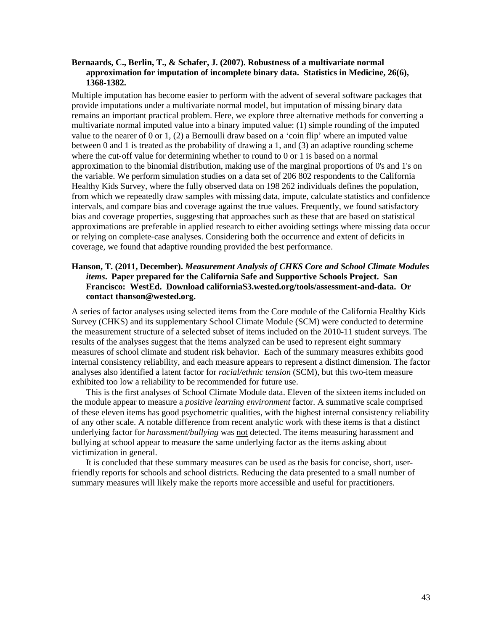#### **Bernaards, C., Berlin, T., & Schafer, J. (2007). Robustness of a multivariate normal approximation for imputation of incomplete binary data. Statistics in Medicine, 26(6), 1368-1382.**

Multiple imputation has become easier to perform with the advent of several software packages that provide imputations under a multivariate normal model, but imputation of missing binary data remains an important practical problem. Here, we explore three alternative methods for converting a multivariate normal imputed value into a binary imputed value: (1) simple rounding of the imputed value to the nearer of 0 or 1, (2) a Bernoulli draw based on a 'coin flip' where an imputed value between 0 and 1 is treated as the probability of drawing a 1, and (3) an adaptive rounding scheme where the cut-off value for determining whether to round to  $0$  or  $1$  is based on a normal approximation to the binomial distribution, making use of the marginal proportions of 0's and 1's on the variable. We perform simulation studies on a data set of 206 802 respondents to the California Healthy Kids Survey, where the fully observed data on 198 262 individuals defines the population, from which we repeatedly draw samples with missing data, impute, calculate statistics and confidence intervals, and compare bias and coverage against the true values. Frequently, we found satisfactory bias and coverage properties, suggesting that approaches such as these that are based on statistical approximations are preferable in applied research to either avoiding settings where missing data occur or relying on complete‐case analyses. Considering both the occurrence and extent of deficits in coverage, we found that adaptive rounding provided the best performance.

#### **Hanson, T. (2011, December).** *Measurement Analysis of CHKS Core and School Climate Modules items***. Paper prepared for the California Safe and Supportive Schools Project. San Francisco: WestEd. Download californiaS3.wested.org/tools/assessment-and-data. Or contact thanson@wested.org.**

A series of factor analyses using selected items from the Core module of the California Healthy Kids Survey (CHKS) and its supplementary School Climate Module (SCM) were conducted to determine the measurement structure of a selected subset of items included on the 2010-11 student surveys. The results of the analyses suggest that the items analyzed can be used to represent eight summary measures of school climate and student risk behavior. Each of the summary measures exhibits good internal consistency reliability, and each measure appears to represent a distinct dimension. The factor analyses also identified a latent factor for *racial/ethnic tension* (SCM), but this two-item measure exhibited too low a reliability to be recommended for future use.

This is the first analyses of School Climate Module data. Eleven of the sixteen items included on the module appear to measure a *positive learning environment* factor. A summative scale comprised of these eleven items has good psychometric qualities, with the highest internal consistency reliability of any other scale. A notable difference from recent analytic work with these items is that a distinct underlying factor for *harassment/bullying* was not detected. The items measuring harassment and bullying at school appear to measure the same underlying factor as the items asking about victimization in general.

It is concluded that these summary measures can be used as the basis for concise, short, userfriendly reports for schools and school districts. Reducing the data presented to a small number of summary measures will likely make the reports more accessible and useful for practitioners.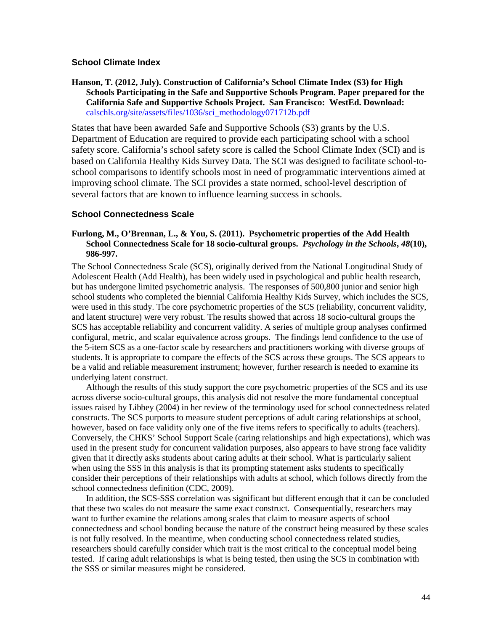#### **School Climate Index**

**Hanson, T. (2012, July). Construction of California's School Climate Index (S3) for High Schools Participating in the Safe and Supportive Schools Program. Paper prepared for the California Safe and Supportive Schools Project. San Francisco: WestEd. Download:**  calschls.org/site/assets/files/1036/sci\_methodology071712b.pdf

States that have been awarded Safe and Supportive Schools (S3) grants by the U.S. Department of Education are required to provide each participating school with a school safety score. California's school safety score is called the School Climate Index (SCI) and is based on California Healthy Kids Survey Data. The SCI was designed to facilitate school-toschool comparisons to identify schools most in need of programmatic interventions aimed at improving school climate. The SCI provides a state normed, school‐level description of several factors that are known to influence learning success in schools.

#### **School Connectedness Scale**

#### **Furlong, M., O'Brennan, L., & You, S. (2011). Psychometric properties of the Add Health School Connectedness Scale for 18 socio-cultural groups.** *Psychology in the Schools***,** *48***(10), 986-997.**

The School Connectedness Scale (SCS), originally derived from the National Longitudinal Study of Adolescent Health (Add Health), has been widely used in psychological and public health research, but has undergone limited psychometric analysis. The responses of 500,800 junior and senior high school students who completed the biennial California Healthy Kids Survey, which includes the SCS, were used in this study. The core psychometric properties of the SCS (reliability, concurrent validity, and latent structure) were very robust. The results showed that across 18 socio-cultural groups the SCS has acceptable reliability and concurrent validity. A series of multiple group analyses confirmed configural, metric, and scalar equivalence across groups. The findings lend confidence to the use of the 5-item SCS as a one-factor scale by researchers and practitioners working with diverse groups of students. It is appropriate to compare the effects of the SCS across these groups. The SCS appears to be a valid and reliable measurement instrument; however, further research is needed to examine its underlying latent construct.

Although the results of this study support the core psychometric properties of the SCS and its use across diverse socio-cultural groups, this analysis did not resolve the more fundamental conceptual issues raised by Libbey (2004) in her review of the terminology used for school connectedness related constructs. The SCS purports to measure student perceptions of adult caring relationships at school, however, based on face validity only one of the five items refers to specifically to adults (teachers). Conversely, the CHKS' School Support Scale (caring relationships and high expectations), which was used in the present study for concurrent validation purposes, also appears to have strong face validity given that it directly asks students about caring adults at their school. What is particularly salient when using the SSS in this analysis is that its prompting statement asks students to specifically consider their perceptions of their relationships with adults at school, which follows directly from the school connectedness definition (CDC, 2009).

In addition, the SCS-SSS correlation was significant but different enough that it can be concluded that these two scales do not measure the same exact construct. Consequentially, researchers may want to further examine the relations among scales that claim to measure aspects of school connectedness and school bonding because the nature of the construct being measured by these scales is not fully resolved. In the meantime, when conducting school connectedness related studies, researchers should carefully consider which trait is the most critical to the conceptual model being tested. If caring adult relationships is what is being tested, then using the SCS in combination with the SSS or similar measures might be considered.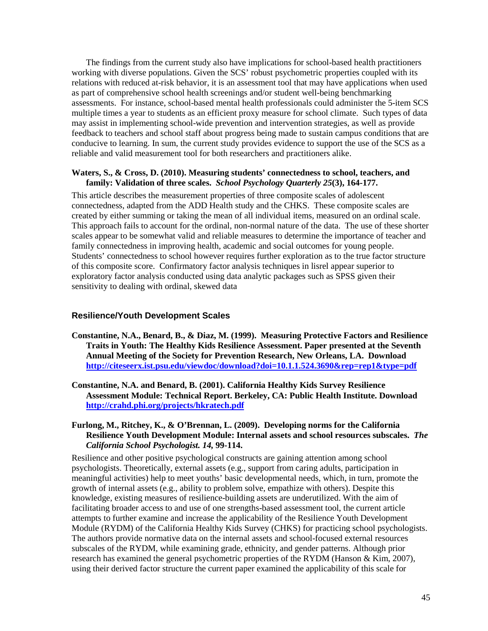The findings from the current study also have implications for school-based health practitioners working with diverse populations. Given the SCS' robust psychometric properties coupled with its relations with reduced at-risk behavior, it is an assessment tool that may have applications when used as part of comprehensive school health screenings and/or student well-being benchmarking assessments. For instance, school-based mental health professionals could administer the 5-item SCS multiple times a year to students as an efficient proxy measure for school climate. Such types of data may assist in implementing school-wide prevention and intervention strategies, as well as provide feedback to teachers and school staff about progress being made to sustain campus conditions that are conducive to learning. In sum, the current study provides evidence to support the use of the SCS as a reliable and valid measurement tool for both researchers and practitioners alike.

#### **Waters, S., & Cross, D. (2010). Measuring students' connectedness to school, teachers, and family: Validation of three scales.** *School Psychology Quarterly 25***(3), 164-177.**

This article describes the measurement properties of three composite scales of adolescent connectedness, adapted from the ADD Health study and the CHKS. These composite scales are created by either summing or taking the mean of all individual items, measured on an ordinal scale. This approach fails to account for the ordinal, non-normal nature of the data. The use of these shorter scales appear to be somewhat valid and reliable measures to determine the importance of teacher and family connectedness in improving health, academic and social outcomes for young people. Students' connectedness to school however requires further exploration as to the true factor structure of this composite score. Confirmatory factor analysis techniques in lisrel appear superior to exploratory factor analysis conducted using data analytic packages such as SPSS given their sensitivity to dealing with ordinal, skewed data

#### **Resilience/Youth Development Scales**

- **Constantine, N.A., Benard, B., & Diaz, M. (1999). Measuring Protective Factors and Resilience Traits in Youth: The Healthy Kids Resilience Assessment. Paper presented at the Seventh Annual Meeting of the Society for Prevention Research, New Orleans, LA. Download <http://citeseerx.ist.psu.edu/viewdoc/download?doi=10.1.1.524.3690&rep=rep1&type=pdf>**
- **Constantine, N.A. and Benard, B. (2001). California Healthy Kids Survey Resilience Assessment Module: Technical Report. Berkeley, CA: Public Health Institute. Download <http://crahd.phi.org/projects/hkratech.pdf>**

#### **Furlong, M., Ritchey, K., & O'Brennan, L. (2009). Developing norms for the California Resilience Youth Development Module: Internal assets and school resources subscales.** *The California School Psychologist. 14,* **99-114.**

Resilience and other positive psychological constructs are gaining attention among school psychologists. Theoretically, external assets (e.g., support from caring adults, participation in meaningful activities) help to meet youths' basic developmental needs, which, in turn, promote the growth of internal assets (e.g., ability to problem solve, empathize with others). Despite this knowledge, existing measures of resilience-building assets are underutilized. With the aim of facilitating broader access to and use of one strengths-based assessment tool, the current article attempts to further examine and increase the applicability of the Resilience Youth Development Module (RYDM) of the California Healthy Kids Survey (CHKS) for practicing school psychologists. The authors provide normative data on the internal assets and school-focused external resources subscales of the RYDM, while examining grade, ethnicity, and gender patterns. Although prior research has examined the general psychometric properties of the RYDM (Hanson & Kim, 2007), using their derived factor structure the current paper examined the applicability of this scale for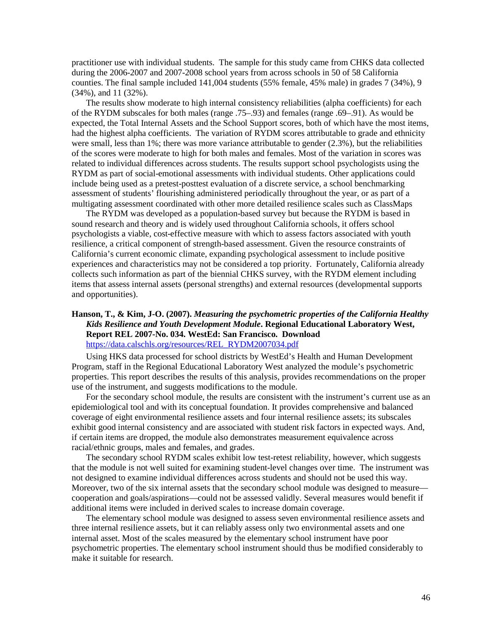practitioner use with individual students. The sample for this study came from CHKS data collected during the 2006-2007 and 2007-2008 school years from across schools in 50 of 58 California counties. The final sample included 141,004 students (55% female, 45% male) in grades 7 (34%), 9 (34%), and 11 (32%).

The results show moderate to high internal consistency reliabilities (alpha coefficients) for each of the RYDM subscales for both males (range .75–.93) and females (range .69–.91). As would be expected, the Total Internal Assets and the School Support scores, both of which have the most items, had the highest alpha coefficients. The variation of RYDM scores attributable to grade and ethnicity were small, less than 1%; there was more variance attributable to gender (2.3%), but the reliabilities of the scores were moderate to high for both males and females. Most of the variation in scores was related to individual differences across students. The results support school psychologists using the RYDM as part of social-emotional assessments with individual students. Other applications could include being used as a pretest-posttest evaluation of a discrete service, a school benchmarking assessment of students' flourishing administered periodically throughout the year, or as part of a multigating assessment coordinated with other more detailed resilience scales such as ClassMaps

The RYDM was developed as a population-based survey but because the RYDM is based in sound research and theory and is widely used throughout California schools, it offers school psychologists a viable, cost-effective measure with which to assess factors associated with youth resilience, a critical component of strength-based assessment. Given the resource constraints of California's current economic climate, expanding psychological assessment to include positive experiences and characteristics may not be considered a top priority. Fortunately, California already collects such information as part of the biennial CHKS survey, with the RYDM element including items that assess internal assets (personal strengths) and external resources (developmental supports and opportunities).

#### **Hanson, T., & Kim, J-O. (2007).** *Measuring the psychometric properties of the California Healthy Kids Resilience and Youth Development Module***. Regional Educational Laboratory West, Report REL 2007-No. 034. WestEd: San Francisco. Download**  [https://data.calschls.org/resources/REL\\_RYDM2007034.pdf](https://data.calschls.org/resources/REL_RYDM2007034.pdf)

Using HKS data processed for school districts by WestEd's Health and Human Development Program, staff in the Regional Educational Laboratory West analyzed the module's psychometric properties. This report describes the results of this analysis, provides recommendations on the proper use of the instrument, and suggests modifications to the module.

For the secondary school module, the results are consistent with the instrument's current use as an epidemiological tool and with its conceptual foundation. It provides comprehensive and balanced coverage of eight environmental resilience assets and four internal resilience assets; its subscales exhibit good internal consistency and are associated with student risk factors in expected ways. And, if certain items are dropped, the module also demonstrates measurement equivalence across racial/ethnic groups, males and females, and grades.

The secondary school RYDM scales exhibit low test-retest reliability, however, which suggests that the module is not well suited for examining student-level changes over time. The instrument was not designed to examine individual differences across students and should not be used this way. Moreover, two of the six internal assets that the secondary school module was designed to measure cooperation and goals/aspirations—could not be assessed validly. Several measures would benefit if additional items were included in derived scales to increase domain coverage.

The elementary school module was designed to assess seven environmental resilience assets and three internal resilience assets, but it can reliably assess only two environmental assets and one internal asset. Most of the scales measured by the elementary school instrument have poor psychometric properties. The elementary school instrument should thus be modified considerably to make it suitable for research.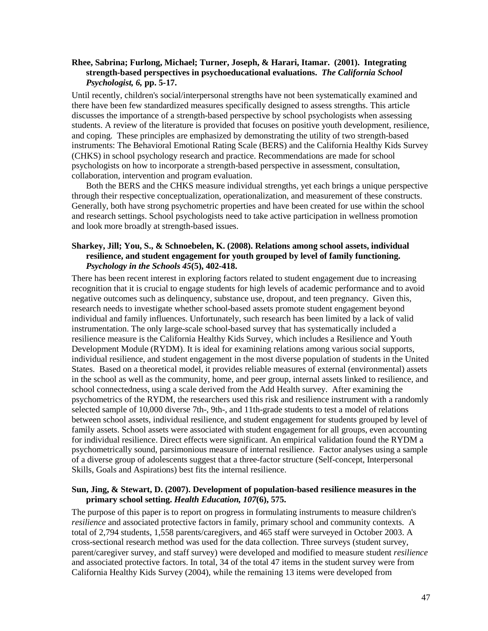#### **Rhee, Sabrina; Furlong, Michael; Turner, Joseph, & Harari, Itamar. (2001). Integrating strength-based perspectives in psychoeducational evaluations.** *The California School Psychologist, 6,* **pp. 5-17.**

Until recently, children's social/interpersonal strengths have not been systematically examined and there have been few standardized measures specifically designed to assess strengths. This article discusses the importance of a strength-based perspective by school psychologists when assessing students. A review of the literature is provided that focuses on positive youth development, resilience, and coping. These principles are emphasized by demonstrating the utility of two strength-based instruments: The Behavioral Emotional Rating Scale (BERS) and the California Healthy Kids Survey (CHKS) in school psychology research and practice. Recommendations are made for school psychologists on how to incorporate a strength-based perspective in assessment, consultation, collaboration, intervention and program evaluation.

Both the BERS and the CHKS measure individual strengths, yet each brings a unique perspective through their respective conceptualization, operationalization, and measurement of these constructs. Generally, both have strong psychometric properties and have been created for use within the school and research settings. School psychologists need to take active participation in wellness promotion and look more broadly at strength-based issues.

#### **Sharkey, Jill; You, S., & Schnoebelen, K. (2008). Relations among school assets, individual resilience, and student engagement for youth grouped by level of family functioning.**  *Psychology in the Schools 45***(5), 402-418.**

There has been recent interest in exploring factors related to student engagement due to increasing recognition that it is crucial to engage students for high levels of academic performance and to avoid negative outcomes such as delinquency, substance use, dropout, and teen pregnancy. Given this, research needs to investigate whether school-based assets promote student engagement beyond individual and family influences. Unfortunately, such research has been limited by a lack of valid instrumentation. The only large-scale school-based survey that has systematically included a resilience measure is the California Healthy Kids Survey, which includes a Resilience and Youth Development Module (RYDM). It is ideal for examining relations among various social supports, individual resilience, and student engagement in the most diverse population of students in the United States. Based on a theoretical model, it provides reliable measures of external (environmental) assets in the school as well as the community, home, and peer group, internal assets linked to resilience, and school connectedness, using a scale derived from the Add Health survey. After examining the psychometrics of the RYDM, the researchers used this risk and resilience instrument with a randomly selected sample of 10,000 diverse 7th-, 9th-, and 11th-grade students to test a model of relations between school assets, individual resilience, and student engagement for students grouped by level of family assets. School assets were associated with student engagement for all groups, even accounting for individual resilience. Direct effects were significant. An empirical validation found the RYDM a psychometrically sound, parsimonious measure of internal resilience. Factor analyses using a sample of a diverse group of adolescents suggest that a three-factor structure (Self-concept, Interpersonal Skills, Goals and Aspirations) best fits the internal resilience.

#### **Sun, Jing, & Stewart, D. (2007). Development of population-based resilience measures in the primary school setting.** *Health Education, 107***(6), 575.**

The purpose of this paper is to report on progress in formulating instruments to measure children's *resilience* and associated protective factors in family, primary school and community contexts. A total of 2,794 students, 1,558 parents/caregivers, and 465 staff were surveyed in October 2003. A cross-sectional research method was used for the data collection. Three surveys (student survey, parent/caregiver survey, and staff survey) were developed and modified to measure student *resilience* and associated protective factors. In total, 34 of the total 47 items in the student survey were from California Healthy Kids Survey (2004), while the remaining 13 items were developed from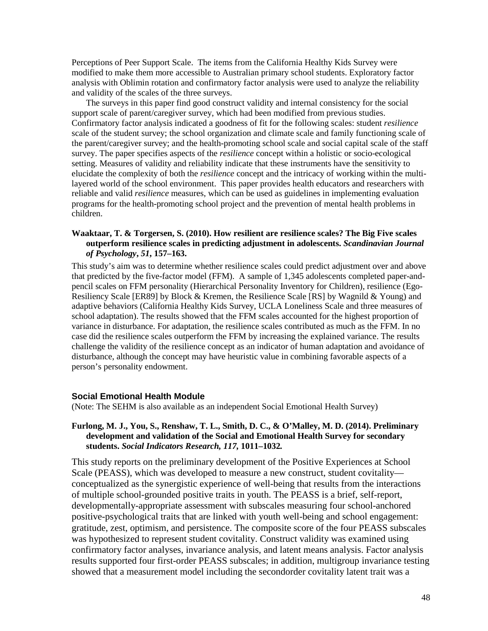Perceptions of Peer Support Scale. The items from the California Healthy Kids Survey were modified to make them more accessible to Australian primary school students. Exploratory factor analysis with Oblimin rotation and confirmatory factor analysis were used to analyze the reliability and validity of the scales of the three surveys.

The surveys in this paper find good construct validity and internal consistency for the social support scale of parent/caregiver survey, which had been modified from previous studies. Confirmatory factor analysis indicated a goodness of fit for the following scales: student *resilience* scale of the student survey; the school organization and climate scale and family functioning scale of the parent/caregiver survey; and the health-promoting school scale and social capital scale of the staff survey. The paper specifies aspects of the *resilience* concept within a holistic or socio-ecological setting. Measures of validity and reliability indicate that these instruments have the sensitivity to elucidate the complexity of both the *resilience* concept and the intricacy of working within the multilayered world of the school environment. This paper provides health educators and researchers with reliable and valid *resilience* measures, which can be used as guidelines in implementing evaluation programs for the health-promoting school project and the prevention of mental health problems in children.

#### **Waaktaar, T. & Torgersen, S. (2010). How resilient are resilience scales? The Big Five scales outperform resilience scales in predicting adjustment in adolescents.** *Scandinavian Journal of Psychology***,** *51***, 157–163.**

This study's aim was to determine whether resilience scales could predict adjustment over and above that predicted by the five-factor model (FFM). A sample of 1,345 adolescents completed paper-andpencil scales on FFM personality (Hierarchical Personality Inventory for Children), resilience (Ego-Resiliency Scale [ER89] by Block & Kremen, the Resilience Scale [RS] by Wagnild & Young) and adaptive behaviors (California Healthy Kids Survey, UCLA Loneliness Scale and three measures of school adaptation). The results showed that the FFM scales accounted for the highest proportion of variance in disturbance. For adaptation, the resilience scales contributed as much as the FFM. In no case did the resilience scales outperform the FFM by increasing the explained variance. The results challenge the validity of the resilience concept as an indicator of human adaptation and avoidance of disturbance, although the concept may have heuristic value in combining favorable aspects of a person's personality endowment.

#### **Social Emotional Health Module**

(Note: The SEHM is also available as an independent Social Emotional Health Survey)

#### **Furlong, M. J., You, S., Renshaw, T. L., Smith, D. C., & O'Malley, M. D. (2014). Preliminary development and validation of the Social and Emotional Health Survey for secondary students.** *Social Indicators Research, 117,* **1011–1032***.*

This study reports on the preliminary development of the Positive Experiences at School Scale (PEASS), which was developed to measure a new construct, student covitality conceptualized as the synergistic experience of well-being that results from the interactions of multiple school-grounded positive traits in youth. The PEASS is a brief, self-report, developmentally-appropriate assessment with subscales measuring four school-anchored positive-psychological traits that are linked with youth well-being and school engagement: gratitude, zest, optimism, and persistence. The composite score of the four PEASS subscales was hypothesized to represent student covitality. Construct validity was examined using confirmatory factor analyses, invariance analysis, and latent means analysis. Factor analysis results supported four first-order PEASS subscales; in addition, multigroup invariance testing showed that a measurement model including the secondorder covitality latent trait was a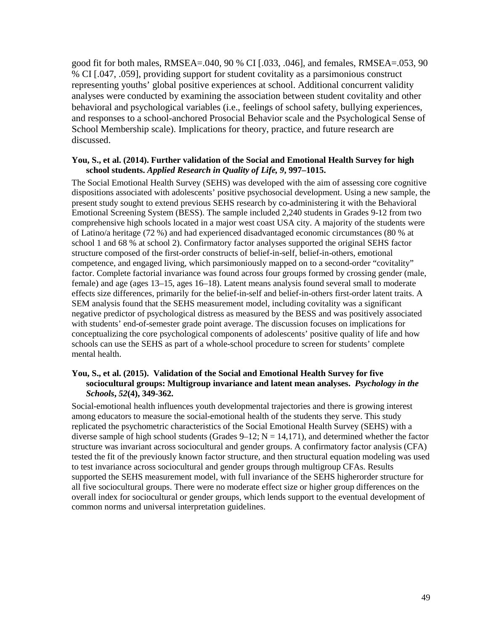good fit for both males, RMSEA=.040, 90 % CI [.033, .046], and females, RMSEA=.053, 90 % CI [.047, .059], providing support for student covitality as a parsimonious construct representing youths' global positive experiences at school. Additional concurrent validity analyses were conducted by examining the association between student covitality and other behavioral and psychological variables (i.e., feelings of school safety, bullying experiences, and responses to a school-anchored Prosocial Behavior scale and the Psychological Sense of School Membership scale). Implications for theory, practice, and future research are discussed.

#### **You, S., et al. (2014). Further validation of the Social and Emotional Health Survey for high school students.** *Applied Research in Quality of Life, 9***, 997–1015.**

The Social Emotional Health Survey (SEHS) was developed with the aim of assessing core cognitive dispositions associated with adolescents' positive psychosocial development. Using a new sample, the present study sought to extend previous SEHS research by co-administering it with the Behavioral Emotional Screening System (BESS). The sample included 2,240 students in Grades 9-12 from two comprehensive high schools located in a major west coast USA city. A majority of the students were of Latino/a heritage (72 %) and had experienced disadvantaged economic circumstances (80 % at school 1 and 68 % at school 2). Confirmatory factor analyses supported the original SEHS factor structure composed of the first-order constructs of belief-in-self, belief-in-others, emotional competence, and engaged living, which parsimoniously mapped on to a second-order "covitality" factor. Complete factorial invariance was found across four groups formed by crossing gender (male, female) and age (ages 13–15, ages 16–18). Latent means analysis found several small to moderate effects size differences, primarily for the belief-in-self and belief-in-others first-order latent traits. A SEM analysis found that the SEHS measurement model, including covitality was a significant negative predictor of psychological distress as measured by the BESS and was positively associated with students' end-of-semester grade point average. The discussion focuses on implications for conceptualizing the core psychological components of adolescents' positive quality of life and how schools can use the SEHS as part of a whole-school procedure to screen for students' complete mental health.

#### **You, S., et al. (2015). Validation of the Social and Emotional Health Survey for five sociocultural groups: Multigroup invariance and latent mean analyses.** *Psychology in the Schools***,** *52***(4), 349-362.**

Social-emotional health influences youth developmental trajectories and there is growing interest among educators to measure the social-emotional health of the students they serve. This study replicated the psychometric characteristics of the Social Emotional Health Survey (SEHS) with a diverse sample of high school students (Grades  $9-12$ ; N = 14,171), and determined whether the factor structure was invariant across sociocultural and gender groups. A confirmatory factor analysis (CFA) tested the fit of the previously known factor structure, and then structural equation modeling was used to test invariance across sociocultural and gender groups through multigroup CFAs. Results supported the SEHS measurement model, with full invariance of the SEHS higherorder structure for all five sociocultural groups. There were no moderate effect size or higher group differences on the overall index for sociocultural or gender groups, which lends support to the eventual development of common norms and universal interpretation guidelines.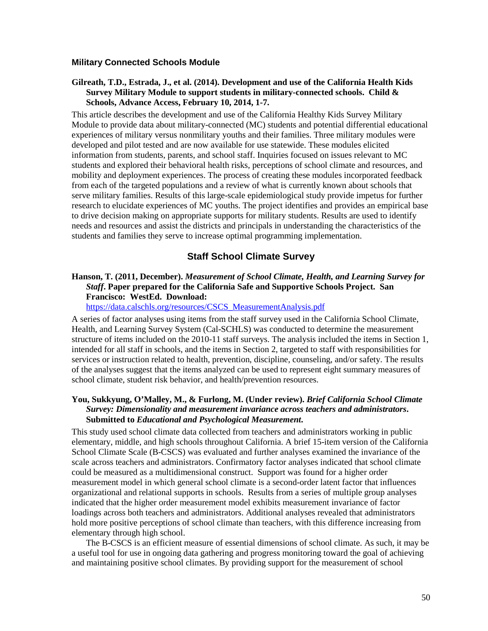#### **Military Connected Schools Module**

**Gilreath, T.D., Estrada, J., et al. (2014). Development and use of the California Health Kids Survey Military Module to support students in military-connected schools. Child & Schools, Advance Access, February 10, 2014, 1-7.**

This article describes the development and use of the California Healthy Kids Survey Military Module to provide data about military-connected (MC) students and potential differential educational experiences of military versus nonmilitary youths and their families. Three military modules were developed and pilot tested and are now available for use statewide. These modules elicited information from students, parents, and school staff. Inquiries focused on issues relevant to MC students and explored their behavioral health risks, perceptions of school climate and resources, and mobility and deployment experiences. The process of creating these modules incorporated feedback from each of the targeted populations and a review of what is currently known about schools that serve military families. Results of this large-scale epidemiological study provide impetus for further research to elucidate experiences of MC youths. The project identifies and provides an empirical base to drive decision making on appropriate supports for military students. Results are used to identify needs and resources and assist the districts and principals in understanding the characteristics of the students and families they serve to increase optimal programming implementation.

#### **Staff School Climate Survey**

#### **Hanson, T. (2011, December).** *Measurement of School Climate, Health, and Learning Survey for Staff***. Paper prepared for the California Safe and Supportive Schools Project. San Francisco: WestEd. Download:**

[https://data.calschls.org/resources/CSCS\\_MeasurementAnalysis.pdf](https://data.calschls.org/resources/CSCS_MeasurementAnalysis.pdf)

A series of factor analyses using items from the staff survey used in the California School Climate, Health, and Learning Survey System (Cal-SCHLS) was conducted to determine the measurement structure of items included on the 2010-11 staff surveys. The analysis included the items in Section 1, intended for all staff in schools, and the items in Section 2, targeted to staff with responsibilities for services or instruction related to health, prevention, discipline, counseling, and/or safety. The results of the analyses suggest that the items analyzed can be used to represent eight summary measures of school climate, student risk behavior, and health/prevention resources.

#### **You, Sukkyung, O'Malley, M., & Furlong, M. (Under review).** *Brief California School Climate Survey: Dimensionality and measurement invariance across teachers and administrators***. Submitted to** *Educational and Psychological Measurement***.**

This study used school climate data collected from teachers and administrators working in public elementary, middle, and high schools throughout California. A brief 15-item version of the California School Climate Scale (B-CSCS) was evaluated and further analyses examined the invariance of the scale across teachers and administrators. Confirmatory factor analyses indicated that school climate could be measured as a multidimensional construct. Support was found for a higher order measurement model in which general school climate is a second-order latent factor that influences organizational and relational supports in schools. Results from a series of multiple group analyses indicated that the higher order measurement model exhibits measurement invariance of factor loadings across both teachers and administrators. Additional analyses revealed that administrators hold more positive perceptions of school climate than teachers, with this difference increasing from elementary through high school.

The B-CSCS is an efficient measure of essential dimensions of school climate. As such, it may be a useful tool for use in ongoing data gathering and progress monitoring toward the goal of achieving and maintaining positive school climates. By providing support for the measurement of school